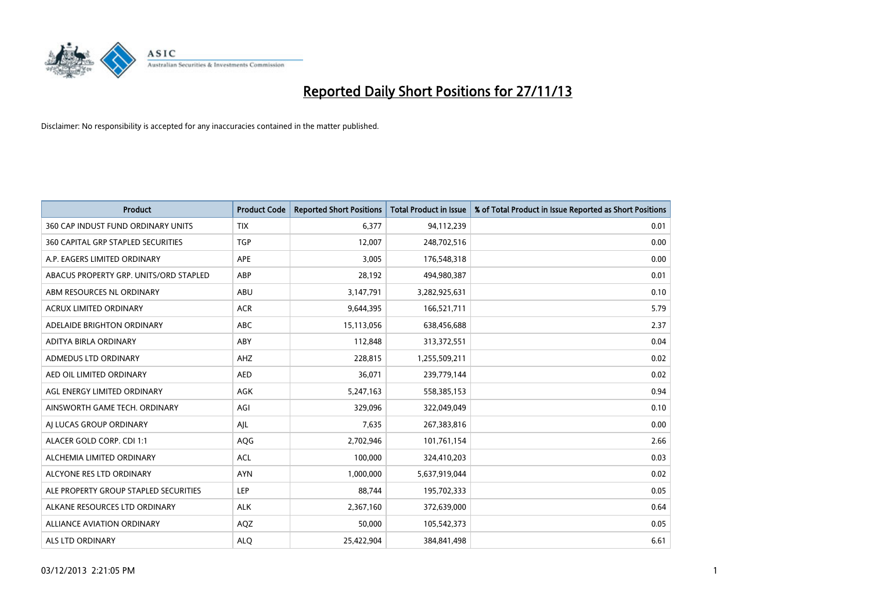

| <b>Product</b>                         | <b>Product Code</b> | <b>Reported Short Positions</b> | <b>Total Product in Issue</b> | % of Total Product in Issue Reported as Short Positions |
|----------------------------------------|---------------------|---------------------------------|-------------------------------|---------------------------------------------------------|
| 360 CAP INDUST FUND ORDINARY UNITS     | <b>TIX</b>          | 6,377                           | 94,112,239                    | 0.01                                                    |
| 360 CAPITAL GRP STAPLED SECURITIES     | <b>TGP</b>          | 12,007                          | 248,702,516                   | 0.00                                                    |
| A.P. EAGERS LIMITED ORDINARY           | APE                 | 3,005                           | 176,548,318                   | 0.00                                                    |
| ABACUS PROPERTY GRP. UNITS/ORD STAPLED | ABP                 | 28,192                          | 494,980,387                   | 0.01                                                    |
| ABM RESOURCES NL ORDINARY              | ABU                 | 3,147,791                       | 3,282,925,631                 | 0.10                                                    |
| <b>ACRUX LIMITED ORDINARY</b>          | <b>ACR</b>          | 9,644,395                       | 166,521,711                   | 5.79                                                    |
| ADELAIDE BRIGHTON ORDINARY             | ABC                 | 15,113,056                      | 638,456,688                   | 2.37                                                    |
| ADITYA BIRLA ORDINARY                  | ABY                 | 112,848                         | 313,372,551                   | 0.04                                                    |
| ADMEDUS LTD ORDINARY                   | AHZ                 | 228,815                         | 1,255,509,211                 | 0.02                                                    |
| AED OIL LIMITED ORDINARY               | <b>AED</b>          | 36,071                          | 239,779,144                   | 0.02                                                    |
| AGL ENERGY LIMITED ORDINARY            | AGK                 | 5,247,163                       | 558,385,153                   | 0.94                                                    |
| AINSWORTH GAME TECH. ORDINARY          | AGI                 | 329,096                         | 322,049,049                   | 0.10                                                    |
| AI LUCAS GROUP ORDINARY                | AJL                 | 7,635                           | 267,383,816                   | 0.00                                                    |
| ALACER GOLD CORP. CDI 1:1              | AQG                 | 2,702,946                       | 101,761,154                   | 2.66                                                    |
| ALCHEMIA LIMITED ORDINARY              | <b>ACL</b>          | 100,000                         | 324,410,203                   | 0.03                                                    |
| ALCYONE RES LTD ORDINARY               | <b>AYN</b>          | 1,000,000                       | 5,637,919,044                 | 0.02                                                    |
| ALE PROPERTY GROUP STAPLED SECURITIES  | LEP                 | 88,744                          | 195,702,333                   | 0.05                                                    |
| ALKANE RESOURCES LTD ORDINARY          | <b>ALK</b>          | 2,367,160                       | 372,639,000                   | 0.64                                                    |
| <b>ALLIANCE AVIATION ORDINARY</b>      | AQZ                 | 50,000                          | 105,542,373                   | 0.05                                                    |
| ALS LTD ORDINARY                       | <b>ALQ</b>          | 25,422,904                      | 384,841,498                   | 6.61                                                    |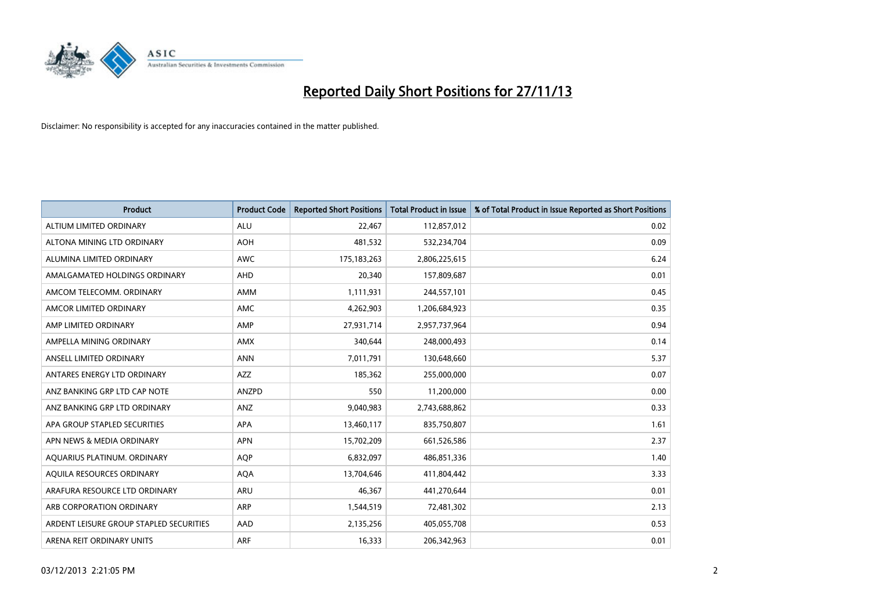

| Product                                 | <b>Product Code</b> | <b>Reported Short Positions</b> | <b>Total Product in Issue</b> | % of Total Product in Issue Reported as Short Positions |
|-----------------------------------------|---------------------|---------------------------------|-------------------------------|---------------------------------------------------------|
| ALTIUM LIMITED ORDINARY                 | <b>ALU</b>          | 22,467                          | 112,857,012                   | 0.02                                                    |
| ALTONA MINING LTD ORDINARY              | <b>AOH</b>          | 481,532                         | 532,234,704                   | 0.09                                                    |
| ALUMINA LIMITED ORDINARY                | <b>AWC</b>          | 175, 183, 263                   | 2,806,225,615                 | 6.24                                                    |
| AMALGAMATED HOLDINGS ORDINARY           | AHD                 | 20,340                          | 157,809,687                   | 0.01                                                    |
| AMCOM TELECOMM. ORDINARY                | <b>AMM</b>          | 1,111,931                       | 244,557,101                   | 0.45                                                    |
| AMCOR LIMITED ORDINARY                  | AMC                 | 4,262,903                       | 1,206,684,923                 | 0.35                                                    |
| AMP LIMITED ORDINARY                    | AMP                 | 27,931,714                      | 2,957,737,964                 | 0.94                                                    |
| AMPELLA MINING ORDINARY                 | <b>AMX</b>          | 340,644                         | 248,000,493                   | 0.14                                                    |
| ANSELL LIMITED ORDINARY                 | <b>ANN</b>          | 7,011,791                       | 130,648,660                   | 5.37                                                    |
| ANTARES ENERGY LTD ORDINARY             | <b>AZZ</b>          | 185,362                         | 255,000,000                   | 0.07                                                    |
| ANZ BANKING GRP LTD CAP NOTE            | <b>ANZPD</b>        | 550                             | 11,200,000                    | 0.00                                                    |
| ANZ BANKING GRP LTD ORDINARY            | ANZ                 | 9,040,983                       | 2,743,688,862                 | 0.33                                                    |
| APA GROUP STAPLED SECURITIES            | <b>APA</b>          | 13,460,117                      | 835,750,807                   | 1.61                                                    |
| APN NEWS & MEDIA ORDINARY               | <b>APN</b>          | 15,702,209                      | 661,526,586                   | 2.37                                                    |
| AQUARIUS PLATINUM. ORDINARY             | <b>AOP</b>          | 6,832,097                       | 486,851,336                   | 1.40                                                    |
| AQUILA RESOURCES ORDINARY               | <b>AQA</b>          | 13,704,646                      | 411,804,442                   | 3.33                                                    |
| ARAFURA RESOURCE LTD ORDINARY           | ARU                 | 46,367                          | 441,270,644                   | 0.01                                                    |
| ARB CORPORATION ORDINARY                | <b>ARP</b>          | 1,544,519                       | 72,481,302                    | 2.13                                                    |
| ARDENT LEISURE GROUP STAPLED SECURITIES | AAD                 | 2,135,256                       | 405,055,708                   | 0.53                                                    |
| ARENA REIT ORDINARY UNITS               | <b>ARF</b>          | 16,333                          | 206,342,963                   | 0.01                                                    |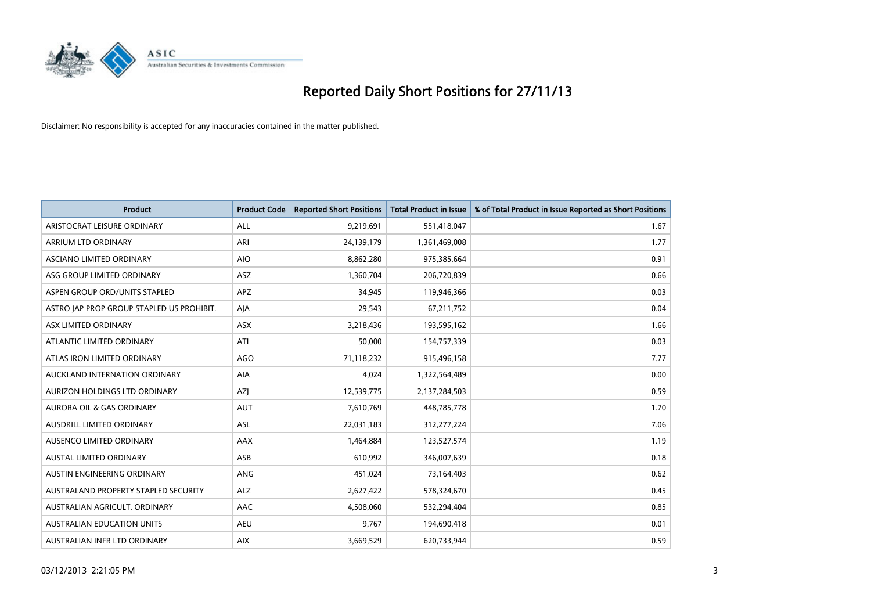

| <b>Product</b>                            | <b>Product Code</b> | <b>Reported Short Positions</b> | <b>Total Product in Issue</b> | % of Total Product in Issue Reported as Short Positions |
|-------------------------------------------|---------------------|---------------------------------|-------------------------------|---------------------------------------------------------|
| ARISTOCRAT LEISURE ORDINARY               | ALL                 | 9,219,691                       | 551,418,047                   | 1.67                                                    |
| ARRIUM LTD ORDINARY                       | ARI                 | 24,139,179                      | 1,361,469,008                 | 1.77                                                    |
| ASCIANO LIMITED ORDINARY                  | <b>AIO</b>          | 8,862,280                       | 975,385,664                   | 0.91                                                    |
| ASG GROUP LIMITED ORDINARY                | ASZ                 | 1,360,704                       | 206,720,839                   | 0.66                                                    |
| ASPEN GROUP ORD/UNITS STAPLED             | <b>APZ</b>          | 34,945                          | 119,946,366                   | 0.03                                                    |
| ASTRO JAP PROP GROUP STAPLED US PROHIBIT. | AJA                 | 29,543                          | 67,211,752                    | 0.04                                                    |
| ASX LIMITED ORDINARY                      | ASX                 | 3,218,436                       | 193,595,162                   | 1.66                                                    |
| ATLANTIC LIMITED ORDINARY                 | ATI                 | 50,000                          | 154,757,339                   | 0.03                                                    |
| ATLAS IRON LIMITED ORDINARY               | <b>AGO</b>          | 71,118,232                      | 915,496,158                   | 7.77                                                    |
| AUCKLAND INTERNATION ORDINARY             | <b>AIA</b>          | 4,024                           | 1,322,564,489                 | 0.00                                                    |
| AURIZON HOLDINGS LTD ORDINARY             | AZJ                 | 12,539,775                      | 2,137,284,503                 | 0.59                                                    |
| <b>AURORA OIL &amp; GAS ORDINARY</b>      | <b>AUT</b>          | 7,610,769                       | 448,785,778                   | 1.70                                                    |
| AUSDRILL LIMITED ORDINARY                 | ASL                 | 22,031,183                      | 312,277,224                   | 7.06                                                    |
| AUSENCO LIMITED ORDINARY                  | AAX                 | 1,464,884                       | 123,527,574                   | 1.19                                                    |
| <b>AUSTAL LIMITED ORDINARY</b>            | ASB                 | 610,992                         | 346,007,639                   | 0.18                                                    |
| AUSTIN ENGINEERING ORDINARY               | ANG                 | 451,024                         | 73,164,403                    | 0.62                                                    |
| AUSTRALAND PROPERTY STAPLED SECURITY      | <b>ALZ</b>          | 2,627,422                       | 578,324,670                   | 0.45                                                    |
| AUSTRALIAN AGRICULT. ORDINARY             | AAC                 | 4,508,060                       | 532,294,404                   | 0.85                                                    |
| AUSTRALIAN EDUCATION UNITS                | <b>AEU</b>          | 9,767                           | 194,690,418                   | 0.01                                                    |
| AUSTRALIAN INFR LTD ORDINARY              | <b>AIX</b>          | 3,669,529                       | 620,733,944                   | 0.59                                                    |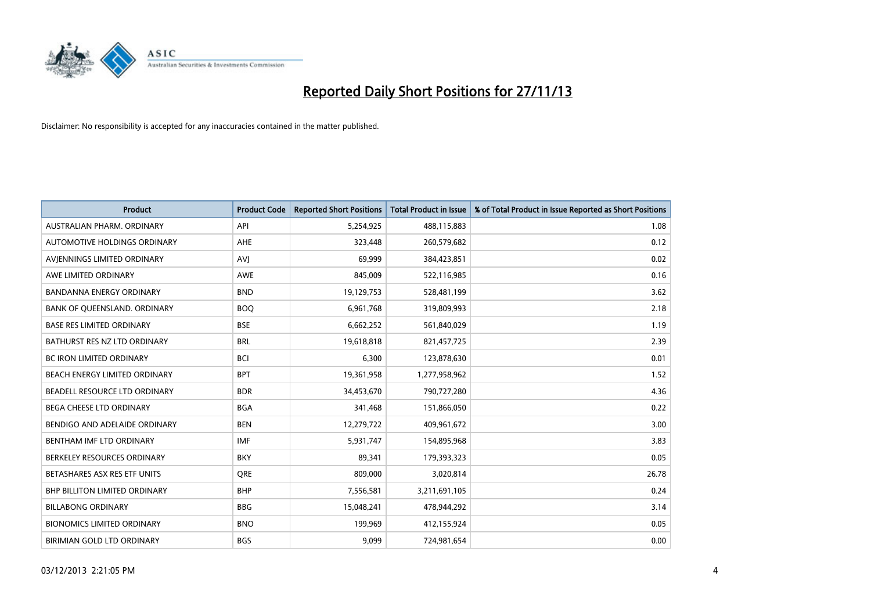

| <b>Product</b>                    | <b>Product Code</b> | <b>Reported Short Positions</b> | <b>Total Product in Issue</b> | % of Total Product in Issue Reported as Short Positions |
|-----------------------------------|---------------------|---------------------------------|-------------------------------|---------------------------------------------------------|
| AUSTRALIAN PHARM, ORDINARY        | API                 | 5,254,925                       | 488,115,883                   | 1.08                                                    |
| AUTOMOTIVE HOLDINGS ORDINARY      | AHE                 | 323,448                         | 260,579,682                   | 0.12                                                    |
| AVIENNINGS LIMITED ORDINARY       | AVI                 | 69,999                          | 384,423,851                   | 0.02                                                    |
| AWE LIMITED ORDINARY              | <b>AWE</b>          | 845,009                         | 522,116,985                   | 0.16                                                    |
| <b>BANDANNA ENERGY ORDINARY</b>   | <b>BND</b>          | 19,129,753                      | 528,481,199                   | 3.62                                                    |
| BANK OF QUEENSLAND. ORDINARY      | <b>BOO</b>          | 6,961,768                       | 319,809,993                   | 2.18                                                    |
| <b>BASE RES LIMITED ORDINARY</b>  | <b>BSE</b>          | 6,662,252                       | 561,840,029                   | 1.19                                                    |
| BATHURST RES NZ LTD ORDINARY      | <b>BRL</b>          | 19,618,818                      | 821,457,725                   | 2.39                                                    |
| BC IRON LIMITED ORDINARY          | <b>BCI</b>          | 6,300                           | 123,878,630                   | 0.01                                                    |
| BEACH ENERGY LIMITED ORDINARY     | <b>BPT</b>          | 19,361,958                      | 1,277,958,962                 | 1.52                                                    |
| BEADELL RESOURCE LTD ORDINARY     | <b>BDR</b>          | 34,453,670                      | 790,727,280                   | 4.36                                                    |
| BEGA CHEESE LTD ORDINARY          | <b>BGA</b>          | 341,468                         | 151,866,050                   | 0.22                                                    |
| BENDIGO AND ADELAIDE ORDINARY     | <b>BEN</b>          | 12,279,722                      | 409,961,672                   | 3.00                                                    |
| BENTHAM IMF LTD ORDINARY          | IMF                 | 5,931,747                       | 154,895,968                   | 3.83                                                    |
| BERKELEY RESOURCES ORDINARY       | <b>BKY</b>          | 89,341                          | 179,393,323                   | 0.05                                                    |
| BETASHARES ASX RES ETF UNITS      | <b>ORE</b>          | 809,000                         | 3,020,814                     | 26.78                                                   |
| BHP BILLITON LIMITED ORDINARY     | <b>BHP</b>          | 7,556,581                       | 3,211,691,105                 | 0.24                                                    |
| <b>BILLABONG ORDINARY</b>         | <b>BBG</b>          | 15,048,241                      | 478,944,292                   | 3.14                                                    |
| <b>BIONOMICS LIMITED ORDINARY</b> | <b>BNO</b>          | 199,969                         | 412,155,924                   | 0.05                                                    |
| BIRIMIAN GOLD LTD ORDINARY        | <b>BGS</b>          | 9,099                           | 724,981,654                   | 0.00                                                    |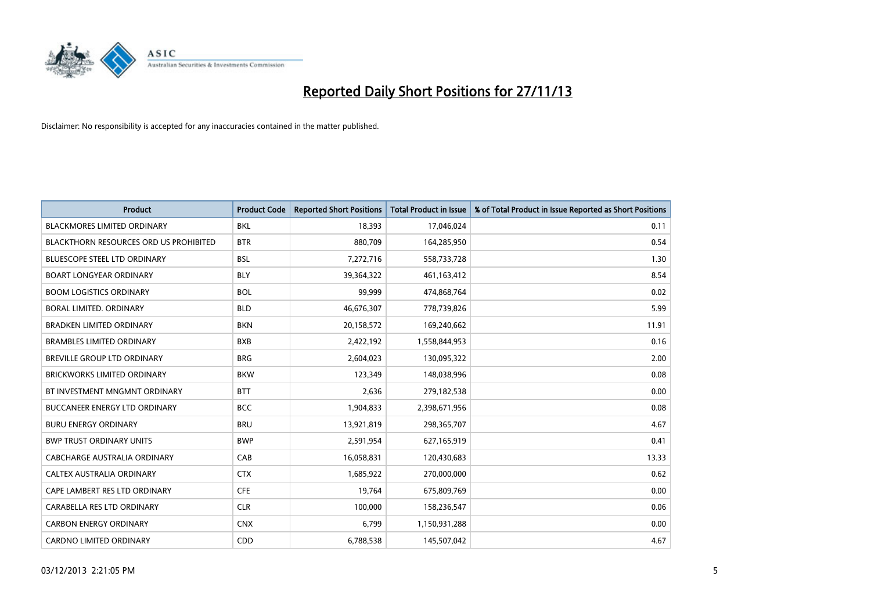

| <b>Product</b>                         | <b>Product Code</b> | <b>Reported Short Positions</b> | <b>Total Product in Issue</b> | % of Total Product in Issue Reported as Short Positions |
|----------------------------------------|---------------------|---------------------------------|-------------------------------|---------------------------------------------------------|
| <b>BLACKMORES LIMITED ORDINARY</b>     | <b>BKL</b>          | 18,393                          | 17,046,024                    | 0.11                                                    |
| BLACKTHORN RESOURCES ORD US PROHIBITED | <b>BTR</b>          | 880,709                         | 164,285,950                   | 0.54                                                    |
| <b>BLUESCOPE STEEL LTD ORDINARY</b>    | <b>BSL</b>          | 7,272,716                       | 558,733,728                   | 1.30                                                    |
| <b>BOART LONGYEAR ORDINARY</b>         | <b>BLY</b>          | 39,364,322                      | 461,163,412                   | 8.54                                                    |
| <b>BOOM LOGISTICS ORDINARY</b>         | <b>BOL</b>          | 99,999                          | 474,868,764                   | 0.02                                                    |
| BORAL LIMITED, ORDINARY                | <b>BLD</b>          | 46,676,307                      | 778,739,826                   | 5.99                                                    |
| <b>BRADKEN LIMITED ORDINARY</b>        | <b>BKN</b>          | 20,158,572                      | 169,240,662                   | 11.91                                                   |
| <b>BRAMBLES LIMITED ORDINARY</b>       | <b>BXB</b>          | 2,422,192                       | 1,558,844,953                 | 0.16                                                    |
| <b>BREVILLE GROUP LTD ORDINARY</b>     | <b>BRG</b>          | 2,604,023                       | 130,095,322                   | 2.00                                                    |
| <b>BRICKWORKS LIMITED ORDINARY</b>     | <b>BKW</b>          | 123,349                         | 148,038,996                   | 0.08                                                    |
| BT INVESTMENT MNGMNT ORDINARY          | <b>BTT</b>          | 2,636                           | 279,182,538                   | 0.00                                                    |
| BUCCANEER ENERGY LTD ORDINARY          | <b>BCC</b>          | 1,904,833                       | 2,398,671,956                 | 0.08                                                    |
| <b>BURU ENERGY ORDINARY</b>            | <b>BRU</b>          | 13,921,819                      | 298,365,707                   | 4.67                                                    |
| <b>BWP TRUST ORDINARY UNITS</b>        | <b>BWP</b>          | 2,591,954                       | 627,165,919                   | 0.41                                                    |
| <b>CABCHARGE AUSTRALIA ORDINARY</b>    | CAB                 | 16,058,831                      | 120,430,683                   | 13.33                                                   |
| CALTEX AUSTRALIA ORDINARY              | <b>CTX</b>          | 1,685,922                       | 270,000,000                   | 0.62                                                    |
| CAPE LAMBERT RES LTD ORDINARY          | <b>CFE</b>          | 19,764                          | 675,809,769                   | 0.00                                                    |
| CARABELLA RES LTD ORDINARY             | <b>CLR</b>          | 100,000                         | 158,236,547                   | 0.06                                                    |
| <b>CARBON ENERGY ORDINARY</b>          | <b>CNX</b>          | 6,799                           | 1,150,931,288                 | 0.00                                                    |
| <b>CARDNO LIMITED ORDINARY</b>         | CDD                 | 6,788,538                       | 145,507,042                   | 4.67                                                    |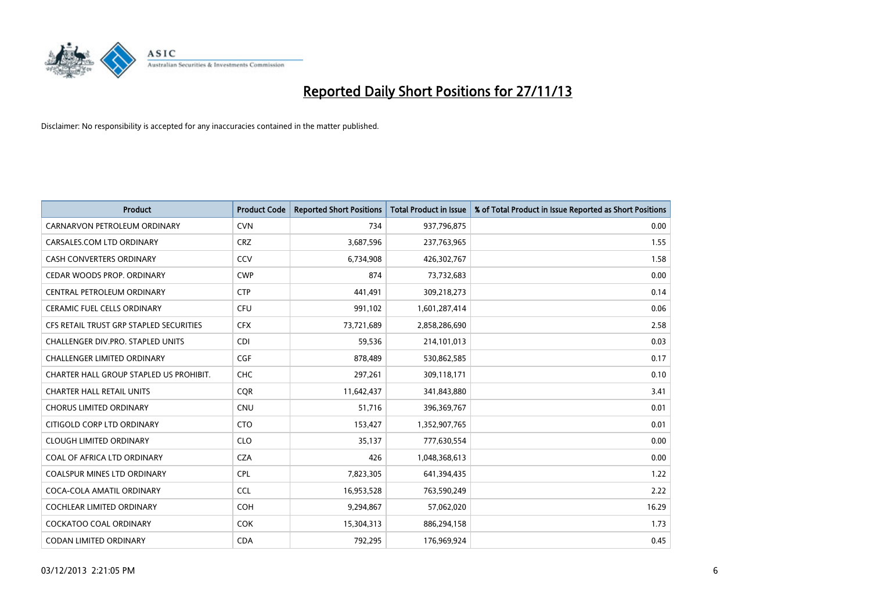

| <b>Product</b>                          | <b>Product Code</b> | <b>Reported Short Positions</b> | <b>Total Product in Issue</b> | % of Total Product in Issue Reported as Short Positions |
|-----------------------------------------|---------------------|---------------------------------|-------------------------------|---------------------------------------------------------|
| CARNARVON PETROLEUM ORDINARY            | <b>CVN</b>          | 734                             | 937,796,875                   | 0.00                                                    |
| CARSALES.COM LTD ORDINARY               | <b>CRZ</b>          | 3,687,596                       | 237,763,965                   | 1.55                                                    |
| CASH CONVERTERS ORDINARY                | CCV                 | 6,734,908                       | 426,302,767                   | 1.58                                                    |
| CEDAR WOODS PROP. ORDINARY              | <b>CWP</b>          | 874                             | 73,732,683                    | 0.00                                                    |
| CENTRAL PETROLEUM ORDINARY              | <b>CTP</b>          | 441,491                         | 309,218,273                   | 0.14                                                    |
| <b>CERAMIC FUEL CELLS ORDINARY</b>      | <b>CFU</b>          | 991,102                         | 1,601,287,414                 | 0.06                                                    |
| CFS RETAIL TRUST GRP STAPLED SECURITIES | <b>CFX</b>          | 73,721,689                      | 2,858,286,690                 | 2.58                                                    |
| CHALLENGER DIV.PRO. STAPLED UNITS       | <b>CDI</b>          | 59,536                          | 214,101,013                   | 0.03                                                    |
| <b>CHALLENGER LIMITED ORDINARY</b>      | <b>CGF</b>          | 878.489                         | 530,862,585                   | 0.17                                                    |
| CHARTER HALL GROUP STAPLED US PROHIBIT. | <b>CHC</b>          | 297,261                         | 309,118,171                   | 0.10                                                    |
| <b>CHARTER HALL RETAIL UNITS</b>        | <b>CQR</b>          | 11,642,437                      | 341,843,880                   | 3.41                                                    |
| <b>CHORUS LIMITED ORDINARY</b>          | <b>CNU</b>          | 51,716                          | 396,369,767                   | 0.01                                                    |
| CITIGOLD CORP LTD ORDINARY              | <b>CTO</b>          | 153,427                         | 1,352,907,765                 | 0.01                                                    |
| <b>CLOUGH LIMITED ORDINARY</b>          | <b>CLO</b>          | 35,137                          | 777,630,554                   | 0.00                                                    |
| COAL OF AFRICA LTD ORDINARY             | <b>CZA</b>          | 426                             | 1,048,368,613                 | 0.00                                                    |
| <b>COALSPUR MINES LTD ORDINARY</b>      | <b>CPL</b>          | 7,823,305                       | 641,394,435                   | 1.22                                                    |
| COCA-COLA AMATIL ORDINARY               | <b>CCL</b>          | 16,953,528                      | 763,590,249                   | 2.22                                                    |
| <b>COCHLEAR LIMITED ORDINARY</b>        | <b>COH</b>          | 9,294,867                       | 57,062,020                    | 16.29                                                   |
| <b>COCKATOO COAL ORDINARY</b>           | <b>COK</b>          | 15,304,313                      | 886,294,158                   | 1.73                                                    |
| CODAN LIMITED ORDINARY                  | <b>CDA</b>          | 792,295                         | 176,969,924                   | 0.45                                                    |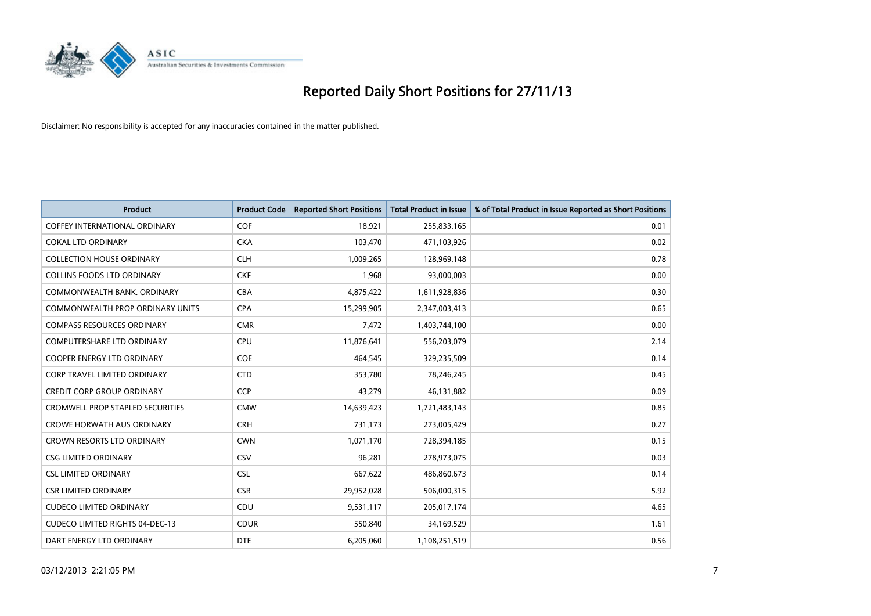

| Product                                 | <b>Product Code</b> | <b>Reported Short Positions</b> | <b>Total Product in Issue</b> | % of Total Product in Issue Reported as Short Positions |
|-----------------------------------------|---------------------|---------------------------------|-------------------------------|---------------------------------------------------------|
| <b>COFFEY INTERNATIONAL ORDINARY</b>    | <b>COF</b>          | 18,921                          | 255,833,165                   | 0.01                                                    |
| <b>COKAL LTD ORDINARY</b>               | <b>CKA</b>          | 103,470                         | 471,103,926                   | 0.02                                                    |
| <b>COLLECTION HOUSE ORDINARY</b>        | <b>CLH</b>          | 1,009,265                       | 128,969,148                   | 0.78                                                    |
| <b>COLLINS FOODS LTD ORDINARY</b>       | <b>CKF</b>          | 1,968                           | 93,000,003                    | 0.00                                                    |
| COMMONWEALTH BANK, ORDINARY             | <b>CBA</b>          | 4,875,422                       | 1,611,928,836                 | 0.30                                                    |
| <b>COMMONWEALTH PROP ORDINARY UNITS</b> | <b>CPA</b>          | 15,299,905                      | 2,347,003,413                 | 0.65                                                    |
| <b>COMPASS RESOURCES ORDINARY</b>       | <b>CMR</b>          | 7,472                           | 1,403,744,100                 | 0.00                                                    |
| <b>COMPUTERSHARE LTD ORDINARY</b>       | <b>CPU</b>          | 11,876,641                      | 556,203,079                   | 2.14                                                    |
| <b>COOPER ENERGY LTD ORDINARY</b>       | <b>COE</b>          | 464,545                         | 329,235,509                   | 0.14                                                    |
| <b>CORP TRAVEL LIMITED ORDINARY</b>     | <b>CTD</b>          | 353,780                         | 78,246,245                    | 0.45                                                    |
| <b>CREDIT CORP GROUP ORDINARY</b>       | <b>CCP</b>          | 43,279                          | 46,131,882                    | 0.09                                                    |
| <b>CROMWELL PROP STAPLED SECURITIES</b> | <b>CMW</b>          | 14,639,423                      | 1,721,483,143                 | 0.85                                                    |
| <b>CROWE HORWATH AUS ORDINARY</b>       | <b>CRH</b>          | 731,173                         | 273,005,429                   | 0.27                                                    |
| <b>CROWN RESORTS LTD ORDINARY</b>       | <b>CWN</b>          | 1,071,170                       | 728,394,185                   | 0.15                                                    |
| <b>CSG LIMITED ORDINARY</b>             | CSV                 | 96,281                          | 278,973,075                   | 0.03                                                    |
| <b>CSL LIMITED ORDINARY</b>             | <b>CSL</b>          | 667,622                         | 486,860,673                   | 0.14                                                    |
| <b>CSR LIMITED ORDINARY</b>             | <b>CSR</b>          | 29,952,028                      | 506,000,315                   | 5.92                                                    |
| <b>CUDECO LIMITED ORDINARY</b>          | CDU                 | 9,531,117                       | 205,017,174                   | 4.65                                                    |
| <b>CUDECO LIMITED RIGHTS 04-DEC-13</b>  | <b>CDUR</b>         | 550,840                         | 34,169,529                    | 1.61                                                    |
| DART ENERGY LTD ORDINARY                | <b>DTE</b>          | 6,205,060                       | 1,108,251,519                 | 0.56                                                    |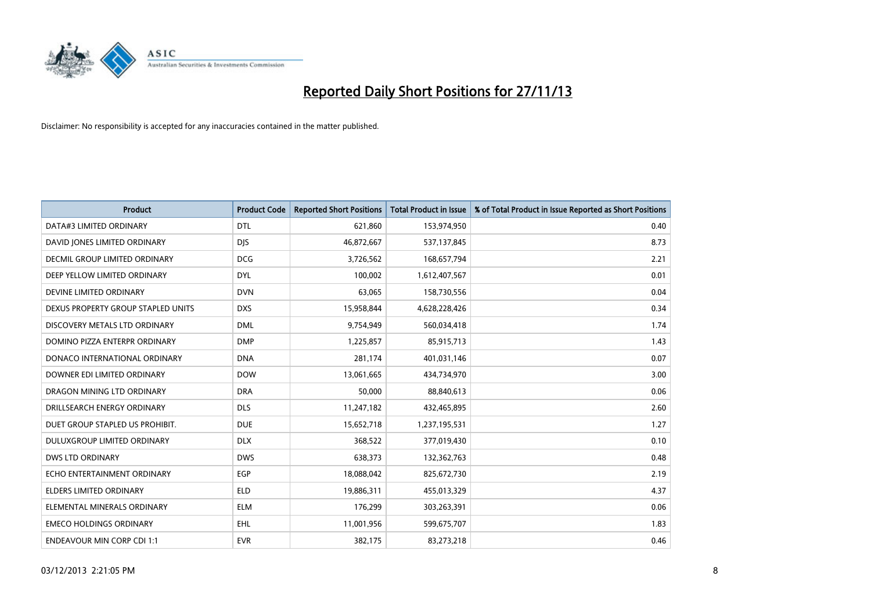

| <b>Product</b>                     | <b>Product Code</b> | <b>Reported Short Positions</b> | <b>Total Product in Issue</b> | % of Total Product in Issue Reported as Short Positions |
|------------------------------------|---------------------|---------------------------------|-------------------------------|---------------------------------------------------------|
| DATA#3 LIMITED ORDINARY            | <b>DTL</b>          | 621,860                         | 153,974,950                   | 0.40                                                    |
| DAVID JONES LIMITED ORDINARY       | <b>DIS</b>          | 46,872,667                      | 537,137,845                   | 8.73                                                    |
| DECMIL GROUP LIMITED ORDINARY      | <b>DCG</b>          | 3,726,562                       | 168,657,794                   | 2.21                                                    |
| DEEP YELLOW LIMITED ORDINARY       | <b>DYL</b>          | 100,002                         | 1,612,407,567                 | 0.01                                                    |
| DEVINE LIMITED ORDINARY            | <b>DVN</b>          | 63,065                          | 158,730,556                   | 0.04                                                    |
| DEXUS PROPERTY GROUP STAPLED UNITS | <b>DXS</b>          | 15,958,844                      | 4,628,228,426                 | 0.34                                                    |
| DISCOVERY METALS LTD ORDINARY      | <b>DML</b>          | 9,754,949                       | 560,034,418                   | 1.74                                                    |
| DOMINO PIZZA ENTERPR ORDINARY      | <b>DMP</b>          | 1,225,857                       | 85,915,713                    | 1.43                                                    |
| DONACO INTERNATIONAL ORDINARY      | <b>DNA</b>          | 281,174                         | 401,031,146                   | 0.07                                                    |
| DOWNER EDI LIMITED ORDINARY        | <b>DOW</b>          | 13,061,665                      | 434,734,970                   | 3.00                                                    |
| DRAGON MINING LTD ORDINARY         | <b>DRA</b>          | 50,000                          | 88,840,613                    | 0.06                                                    |
| DRILLSEARCH ENERGY ORDINARY        | <b>DLS</b>          | 11,247,182                      | 432,465,895                   | 2.60                                                    |
| DUET GROUP STAPLED US PROHIBIT.    | <b>DUE</b>          | 15,652,718                      | 1,237,195,531                 | 1.27                                                    |
| DULUXGROUP LIMITED ORDINARY        | <b>DLX</b>          | 368,522                         | 377,019,430                   | 0.10                                                    |
| <b>DWS LTD ORDINARY</b>            | <b>DWS</b>          | 638,373                         | 132,362,763                   | 0.48                                                    |
| ECHO ENTERTAINMENT ORDINARY        | <b>EGP</b>          | 18,088,042                      | 825,672,730                   | 2.19                                                    |
| ELDERS LIMITED ORDINARY            | <b>ELD</b>          | 19,886,311                      | 455,013,329                   | 4.37                                                    |
| ELEMENTAL MINERALS ORDINARY        | <b>ELM</b>          | 176,299                         | 303,263,391                   | 0.06                                                    |
| <b>EMECO HOLDINGS ORDINARY</b>     | EHL                 | 11,001,956                      | 599,675,707                   | 1.83                                                    |
| <b>ENDEAVOUR MIN CORP CDI 1:1</b>  | <b>EVR</b>          | 382,175                         | 83,273,218                    | 0.46                                                    |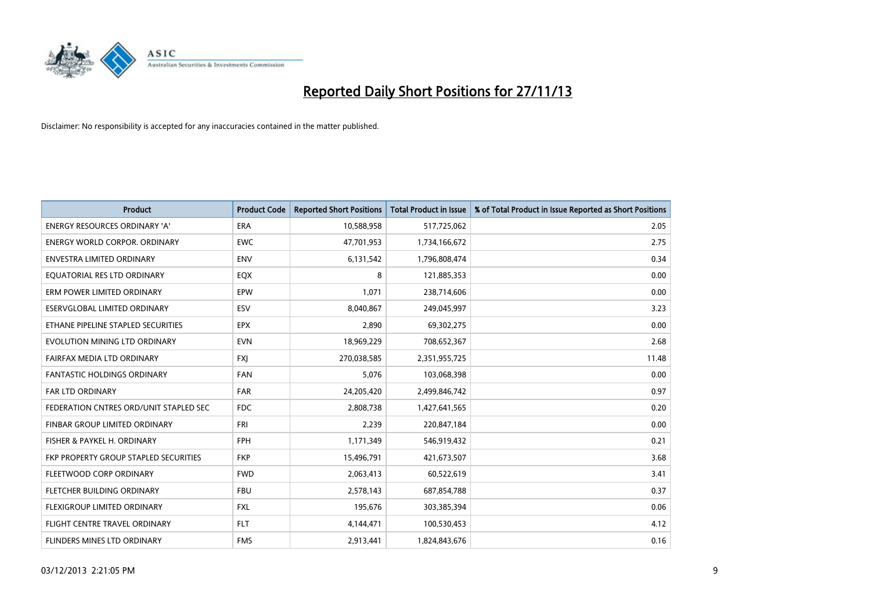

| <b>Product</b>                         | <b>Product Code</b> | <b>Reported Short Positions</b> | <b>Total Product in Issue</b> | % of Total Product in Issue Reported as Short Positions |
|----------------------------------------|---------------------|---------------------------------|-------------------------------|---------------------------------------------------------|
| <b>ENERGY RESOURCES ORDINARY 'A'</b>   | <b>ERA</b>          | 10,588,958                      | 517,725,062                   | 2.05                                                    |
| <b>ENERGY WORLD CORPOR, ORDINARY</b>   | <b>EWC</b>          | 47,701,953                      | 1,734,166,672                 | 2.75                                                    |
| <b>ENVESTRA LIMITED ORDINARY</b>       | <b>ENV</b>          | 6,131,542                       | 1,796,808,474                 | 0.34                                                    |
| EOUATORIAL RES LTD ORDINARY            | EQX                 | 8                               | 121,885,353                   | 0.00                                                    |
| ERM POWER LIMITED ORDINARY             | EPW                 | 1,071                           | 238,714,606                   | 0.00                                                    |
| ESERVGLOBAL LIMITED ORDINARY           | ESV                 | 8,040,867                       | 249,045,997                   | 3.23                                                    |
| ETHANE PIPELINE STAPLED SECURITIES     | <b>EPX</b>          | 2,890                           | 69,302,275                    | 0.00                                                    |
| EVOLUTION MINING LTD ORDINARY          | <b>EVN</b>          | 18,969,229                      | 708,652,367                   | 2.68                                                    |
| FAIRFAX MEDIA LTD ORDINARY             | <b>FXI</b>          | 270,038,585                     | 2,351,955,725                 | 11.48                                                   |
| <b>FANTASTIC HOLDINGS ORDINARY</b>     | <b>FAN</b>          | 5,076                           | 103,068,398                   | 0.00                                                    |
| FAR LTD ORDINARY                       | <b>FAR</b>          | 24,205,420                      | 2,499,846,742                 | 0.97                                                    |
| FEDERATION CNTRES ORD/UNIT STAPLED SEC | FDC                 | 2,808,738                       | 1,427,641,565                 | 0.20                                                    |
| FINBAR GROUP LIMITED ORDINARY          | <b>FRI</b>          | 2,239                           | 220,847,184                   | 0.00                                                    |
| FISHER & PAYKEL H. ORDINARY            | <b>FPH</b>          | 1,171,349                       | 546,919,432                   | 0.21                                                    |
| FKP PROPERTY GROUP STAPLED SECURITIES  | <b>FKP</b>          | 15,496,791                      | 421,673,507                   | 3.68                                                    |
| FLEETWOOD CORP ORDINARY                | <b>FWD</b>          | 2,063,413                       | 60,522,619                    | 3.41                                                    |
| FLETCHER BUILDING ORDINARY             | <b>FBU</b>          | 2,578,143                       | 687,854,788                   | 0.37                                                    |
| FLEXIGROUP LIMITED ORDINARY            | <b>FXL</b>          | 195,676                         | 303,385,394                   | 0.06                                                    |
| FLIGHT CENTRE TRAVEL ORDINARY          | <b>FLT</b>          | 4,144,471                       | 100,530,453                   | 4.12                                                    |
| FLINDERS MINES LTD ORDINARY            | <b>FMS</b>          | 2,913,441                       | 1,824,843,676                 | 0.16                                                    |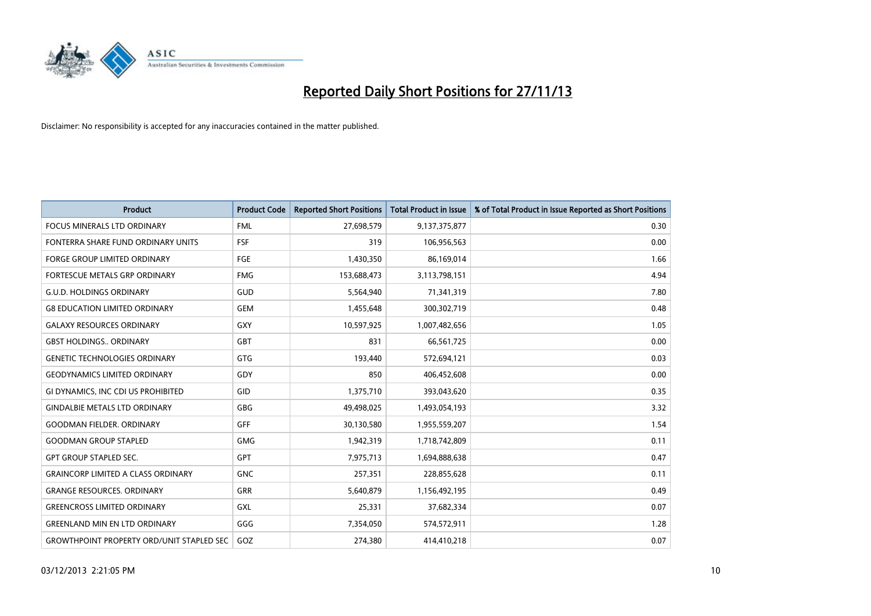

| <b>Product</b>                                   | <b>Product Code</b> | <b>Reported Short Positions</b> | <b>Total Product in Issue</b> | % of Total Product in Issue Reported as Short Positions |
|--------------------------------------------------|---------------------|---------------------------------|-------------------------------|---------------------------------------------------------|
| <b>FOCUS MINERALS LTD ORDINARY</b>               | <b>FML</b>          | 27,698,579                      | 9,137,375,877                 | 0.30                                                    |
| FONTERRA SHARE FUND ORDINARY UNITS               | <b>FSF</b>          | 319                             | 106,956,563                   | 0.00                                                    |
| <b>FORGE GROUP LIMITED ORDINARY</b>              | <b>FGE</b>          | 1,430,350                       | 86,169,014                    | 1.66                                                    |
| FORTESCUE METALS GRP ORDINARY                    | <b>FMG</b>          | 153,688,473                     | 3,113,798,151                 | 4.94                                                    |
| <b>G.U.D. HOLDINGS ORDINARY</b>                  | GUD                 | 5,564,940                       | 71,341,319                    | 7.80                                                    |
| <b>G8 EDUCATION LIMITED ORDINARY</b>             | <b>GEM</b>          | 1,455,648                       | 300,302,719                   | 0.48                                                    |
| <b>GALAXY RESOURCES ORDINARY</b>                 | GXY                 | 10,597,925                      | 1,007,482,656                 | 1.05                                                    |
| <b>GBST HOLDINGS ORDINARY</b>                    | GBT                 | 831                             | 66,561,725                    | 0.00                                                    |
| <b>GENETIC TECHNOLOGIES ORDINARY</b>             | GTG                 | 193,440                         | 572,694,121                   | 0.03                                                    |
| <b>GEODYNAMICS LIMITED ORDINARY</b>              | GDY                 | 850                             | 406,452,608                   | 0.00                                                    |
| GI DYNAMICS, INC CDI US PROHIBITED               | GID                 | 1,375,710                       | 393,043,620                   | 0.35                                                    |
| <b>GINDALBIE METALS LTD ORDINARY</b>             | GBG                 | 49,498,025                      | 1,493,054,193                 | 3.32                                                    |
| <b>GOODMAN FIELDER, ORDINARY</b>                 | <b>GFF</b>          | 30,130,580                      | 1,955,559,207                 | 1.54                                                    |
| <b>GOODMAN GROUP STAPLED</b>                     | <b>GMG</b>          | 1,942,319                       | 1,718,742,809                 | 0.11                                                    |
| <b>GPT GROUP STAPLED SEC.</b>                    | <b>GPT</b>          | 7,975,713                       | 1,694,888,638                 | 0.47                                                    |
| <b>GRAINCORP LIMITED A CLASS ORDINARY</b>        | <b>GNC</b>          | 257,351                         | 228,855,628                   | 0.11                                                    |
| <b>GRANGE RESOURCES, ORDINARY</b>                | GRR                 | 5,640,879                       | 1,156,492,195                 | 0.49                                                    |
| <b>GREENCROSS LIMITED ORDINARY</b>               | <b>GXL</b>          | 25,331                          | 37,682,334                    | 0.07                                                    |
| <b>GREENLAND MIN EN LTD ORDINARY</b>             | GGG                 | 7,354,050                       | 574,572,911                   | 1.28                                                    |
| <b>GROWTHPOINT PROPERTY ORD/UNIT STAPLED SEC</b> | GOZ                 | 274,380                         | 414,410,218                   | 0.07                                                    |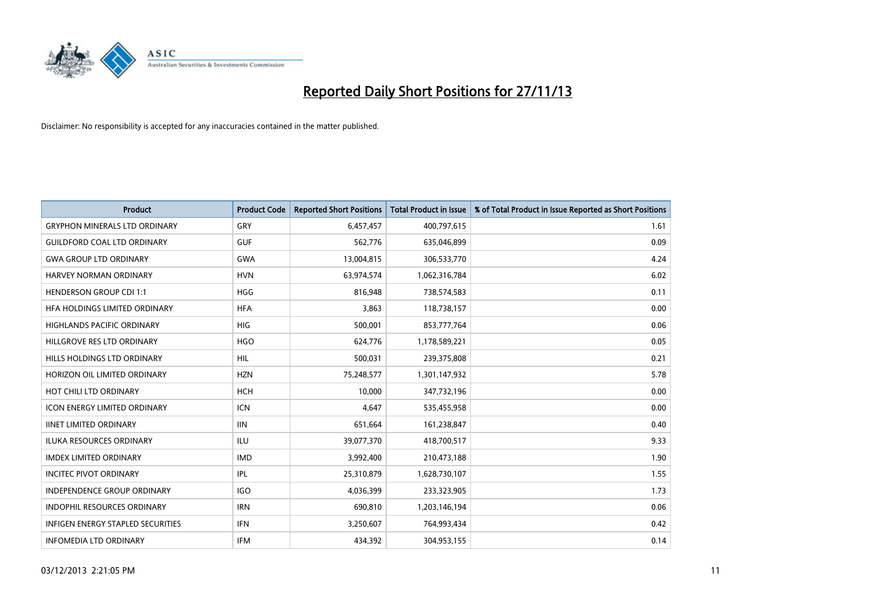

| <b>Product</b>                           | <b>Product Code</b> | <b>Reported Short Positions</b> | <b>Total Product in Issue</b> | % of Total Product in Issue Reported as Short Positions |
|------------------------------------------|---------------------|---------------------------------|-------------------------------|---------------------------------------------------------|
| <b>GRYPHON MINERALS LTD ORDINARY</b>     | GRY                 | 6,457,457                       | 400,797,615                   | 1.61                                                    |
| <b>GUILDFORD COAL LTD ORDINARY</b>       | <b>GUF</b>          | 562,776                         | 635,046,899                   | 0.09                                                    |
| <b>GWA GROUP LTD ORDINARY</b>            | <b>GWA</b>          | 13,004,815                      | 306,533,770                   | 4.24                                                    |
| HARVEY NORMAN ORDINARY                   | <b>HVN</b>          | 63,974,574                      | 1,062,316,784                 | 6.02                                                    |
| <b>HENDERSON GROUP CDI 1:1</b>           | <b>HGG</b>          | 816,948                         | 738,574,583                   | 0.11                                                    |
| HFA HOLDINGS LIMITED ORDINARY            | <b>HFA</b>          | 3,863                           | 118,738,157                   | 0.00                                                    |
| <b>HIGHLANDS PACIFIC ORDINARY</b>        | <b>HIG</b>          | 500,001                         | 853,777,764                   | 0.06                                                    |
| HILLGROVE RES LTD ORDINARY               | <b>HGO</b>          | 624,776                         | 1,178,589,221                 | 0.05                                                    |
| HILLS HOLDINGS LTD ORDINARY              | <b>HIL</b>          | 500,031                         | 239,375,808                   | 0.21                                                    |
| HORIZON OIL LIMITED ORDINARY             | <b>HZN</b>          | 75,248,577                      | 1,301,147,932                 | 5.78                                                    |
| HOT CHILI LTD ORDINARY                   | <b>HCH</b>          | 10,000                          | 347,732,196                   | 0.00                                                    |
| <b>ICON ENERGY LIMITED ORDINARY</b>      | <b>ICN</b>          | 4,647                           | 535,455,958                   | 0.00                                                    |
| <b>IINET LIMITED ORDINARY</b>            | <b>IIN</b>          | 651,664                         | 161,238,847                   | 0.40                                                    |
| <b>ILUKA RESOURCES ORDINARY</b>          | ILU                 | 39,077,370                      | 418,700,517                   | 9.33                                                    |
| <b>IMDEX LIMITED ORDINARY</b>            | <b>IMD</b>          | 3,992,400                       | 210,473,188                   | 1.90                                                    |
| <b>INCITEC PIVOT ORDINARY</b>            | IPL                 | 25,310,879                      | 1,628,730,107                 | 1.55                                                    |
| INDEPENDENCE GROUP ORDINARY              | <b>IGO</b>          | 4,036,399                       | 233,323,905                   | 1.73                                                    |
| INDOPHIL RESOURCES ORDINARY              | <b>IRN</b>          | 690,810                         | 1,203,146,194                 | 0.06                                                    |
| <b>INFIGEN ENERGY STAPLED SECURITIES</b> | <b>IFN</b>          | 3,250,607                       | 764,993,434                   | 0.42                                                    |
| <b>INFOMEDIA LTD ORDINARY</b>            | <b>IFM</b>          | 434,392                         | 304,953,155                   | 0.14                                                    |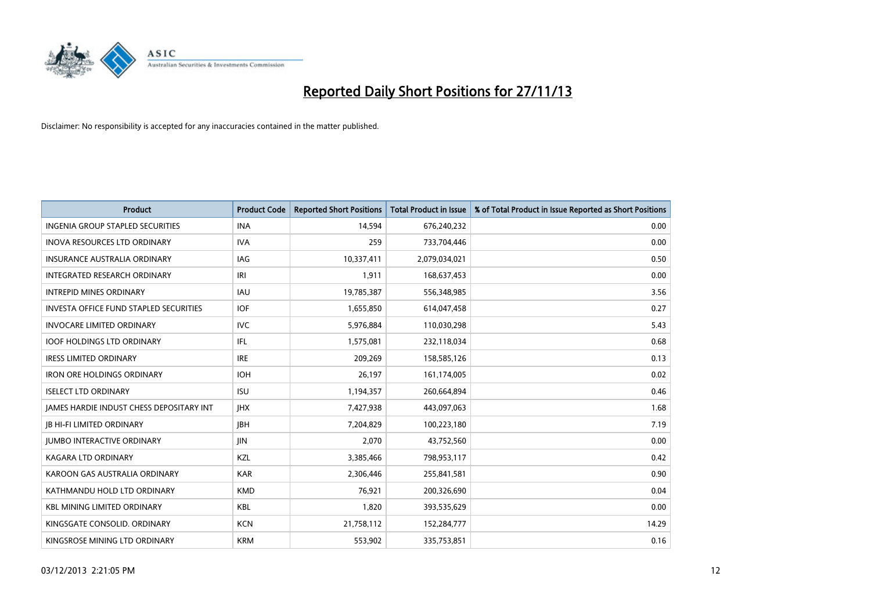

| <b>Product</b>                                  | <b>Product Code</b> | <b>Reported Short Positions</b> | <b>Total Product in Issue</b> | % of Total Product in Issue Reported as Short Positions |
|-------------------------------------------------|---------------------|---------------------------------|-------------------------------|---------------------------------------------------------|
| <b>INGENIA GROUP STAPLED SECURITIES</b>         | <b>INA</b>          | 14,594                          | 676,240,232                   | 0.00                                                    |
| INOVA RESOURCES LTD ORDINARY                    | <b>IVA</b>          | 259                             | 733,704,446                   | 0.00                                                    |
| <b>INSURANCE AUSTRALIA ORDINARY</b>             | IAG                 | 10,337,411                      | 2,079,034,021                 | 0.50                                                    |
| INTEGRATED RESEARCH ORDINARY                    | IRI                 | 1,911                           | 168,637,453                   | 0.00                                                    |
| <b>INTREPID MINES ORDINARY</b>                  | <b>IAU</b>          | 19,785,387                      | 556,348,985                   | 3.56                                                    |
| <b>INVESTA OFFICE FUND STAPLED SECURITIES</b>   | <b>IOF</b>          | 1,655,850                       | 614,047,458                   | 0.27                                                    |
| <b>INVOCARE LIMITED ORDINARY</b>                | <b>IVC</b>          | 5,976,884                       | 110,030,298                   | 5.43                                                    |
| <b>IOOF HOLDINGS LTD ORDINARY</b>               | IFL                 | 1,575,081                       | 232,118,034                   | 0.68                                                    |
| <b>IRESS LIMITED ORDINARY</b>                   | <b>IRE</b>          | 209,269                         | 158,585,126                   | 0.13                                                    |
| <b>IRON ORE HOLDINGS ORDINARY</b>               | <b>IOH</b>          | 26,197                          | 161,174,005                   | 0.02                                                    |
| <b>ISELECT LTD ORDINARY</b>                     | <b>ISU</b>          | 1,194,357                       | 260,664,894                   | 0.46                                                    |
| <b>JAMES HARDIE INDUST CHESS DEPOSITARY INT</b> | <b>IHX</b>          | 7,427,938                       | 443,097,063                   | 1.68                                                    |
| <b>JB HI-FI LIMITED ORDINARY</b>                | <b>IBH</b>          | 7,204,829                       | 100,223,180                   | 7.19                                                    |
| <b>JUMBO INTERACTIVE ORDINARY</b>               | <b>JIN</b>          | 2,070                           | 43,752,560                    | 0.00                                                    |
| <b>KAGARA LTD ORDINARY</b>                      | KZL                 | 3,385,466                       | 798,953,117                   | 0.42                                                    |
| KAROON GAS AUSTRALIA ORDINARY                   | <b>KAR</b>          | 2,306,446                       | 255,841,581                   | 0.90                                                    |
| KATHMANDU HOLD LTD ORDINARY                     | <b>KMD</b>          | 76,921                          | 200,326,690                   | 0.04                                                    |
| <b>KBL MINING LIMITED ORDINARY</b>              | <b>KBL</b>          | 1,820                           | 393,535,629                   | 0.00                                                    |
| KINGSGATE CONSOLID, ORDINARY                    | <b>KCN</b>          | 21,758,112                      | 152,284,777                   | 14.29                                                   |
| KINGSROSE MINING LTD ORDINARY                   | <b>KRM</b>          | 553,902                         | 335,753,851                   | 0.16                                                    |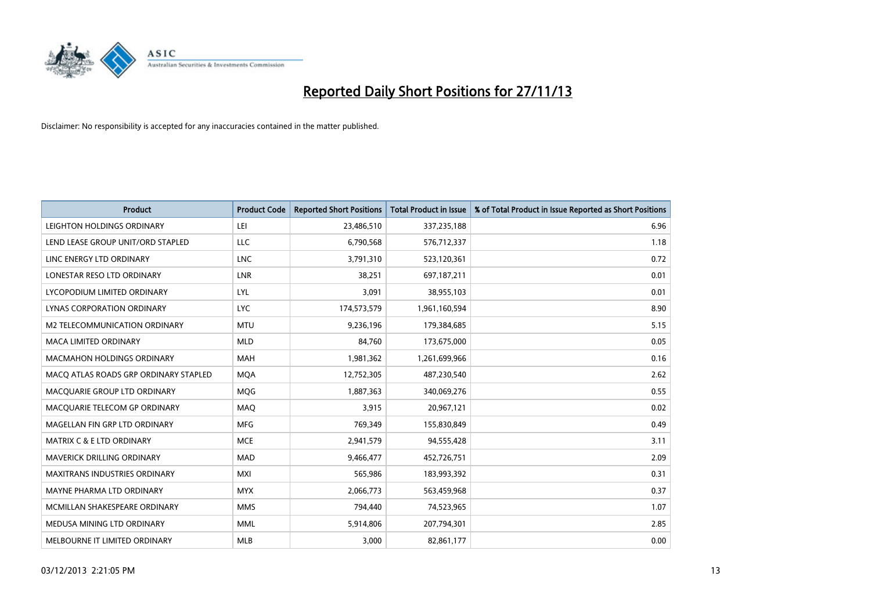

| <b>Product</b>                        | <b>Product Code</b> | <b>Reported Short Positions</b> | <b>Total Product in Issue</b> | % of Total Product in Issue Reported as Short Positions |
|---------------------------------------|---------------------|---------------------------------|-------------------------------|---------------------------------------------------------|
| LEIGHTON HOLDINGS ORDINARY            | LEI                 | 23,486,510                      | 337,235,188                   | 6.96                                                    |
| LEND LEASE GROUP UNIT/ORD STAPLED     | LLC                 | 6,790,568                       | 576,712,337                   | 1.18                                                    |
| LINC ENERGY LTD ORDINARY              | <b>LNC</b>          | 3,791,310                       | 523,120,361                   | 0.72                                                    |
| LONESTAR RESO LTD ORDINARY            | <b>LNR</b>          | 38,251                          | 697,187,211                   | 0.01                                                    |
| LYCOPODIUM LIMITED ORDINARY           | <b>LYL</b>          | 3,091                           | 38,955,103                    | 0.01                                                    |
| <b>LYNAS CORPORATION ORDINARY</b>     | <b>LYC</b>          | 174,573,579                     | 1,961,160,594                 | 8.90                                                    |
| M2 TELECOMMUNICATION ORDINARY         | <b>MTU</b>          | 9,236,196                       | 179,384,685                   | 5.15                                                    |
| MACA LIMITED ORDINARY                 | <b>MLD</b>          | 84,760                          | 173,675,000                   | 0.05                                                    |
| <b>MACMAHON HOLDINGS ORDINARY</b>     | <b>MAH</b>          | 1,981,362                       | 1,261,699,966                 | 0.16                                                    |
| MACO ATLAS ROADS GRP ORDINARY STAPLED | <b>MOA</b>          | 12,752,305                      | 487,230,540                   | 2.62                                                    |
| MACQUARIE GROUP LTD ORDINARY          | MQG                 | 1,887,363                       | 340,069,276                   | 0.55                                                    |
| MACQUARIE TELECOM GP ORDINARY         | MAQ                 | 3,915                           | 20,967,121                    | 0.02                                                    |
| MAGELLAN FIN GRP LTD ORDINARY         | <b>MFG</b>          | 769,349                         | 155,830,849                   | 0.49                                                    |
| <b>MATRIX C &amp; E LTD ORDINARY</b>  | <b>MCE</b>          | 2,941,579                       | 94,555,428                    | 3.11                                                    |
| <b>MAVERICK DRILLING ORDINARY</b>     | <b>MAD</b>          | 9,466,477                       | 452,726,751                   | 2.09                                                    |
| MAXITRANS INDUSTRIES ORDINARY         | <b>MXI</b>          | 565,986                         | 183,993,392                   | 0.31                                                    |
| MAYNE PHARMA LTD ORDINARY             | <b>MYX</b>          | 2,066,773                       | 563,459,968                   | 0.37                                                    |
| MCMILLAN SHAKESPEARE ORDINARY         | <b>MMS</b>          | 794,440                         | 74,523,965                    | 1.07                                                    |
| MEDUSA MINING LTD ORDINARY            | <b>MML</b>          | 5,914,806                       | 207,794,301                   | 2.85                                                    |
| MELBOURNE IT LIMITED ORDINARY         | <b>MLB</b>          | 3,000                           | 82,861,177                    | 0.00                                                    |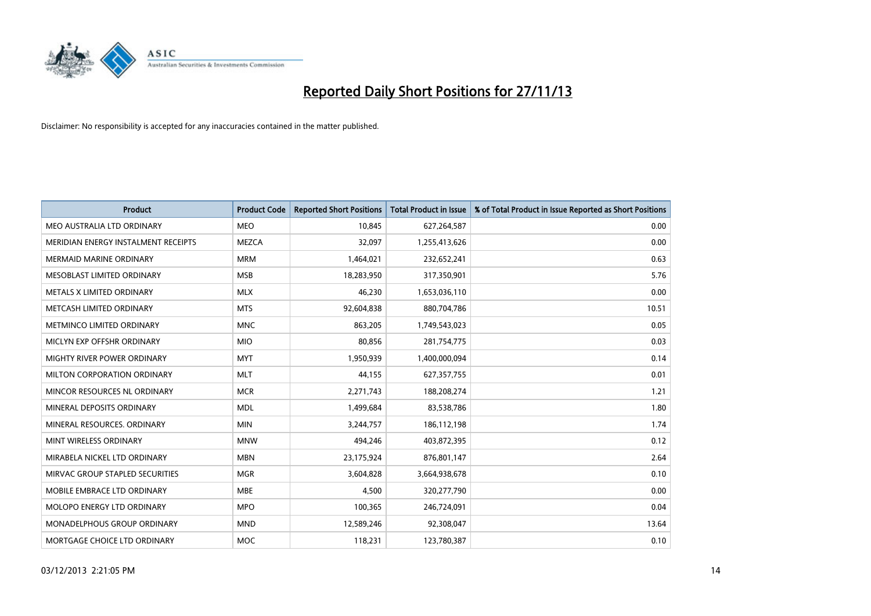

| <b>Product</b>                      | <b>Product Code</b> | <b>Reported Short Positions</b> | <b>Total Product in Issue</b> | % of Total Product in Issue Reported as Short Positions |
|-------------------------------------|---------------------|---------------------------------|-------------------------------|---------------------------------------------------------|
| MEO AUSTRALIA LTD ORDINARY          | <b>MEO</b>          | 10,845                          | 627,264,587                   | 0.00                                                    |
| MERIDIAN ENERGY INSTALMENT RECEIPTS | MEZCA               | 32,097                          | 1,255,413,626                 | 0.00                                                    |
| <b>MERMAID MARINE ORDINARY</b>      | <b>MRM</b>          | 1,464,021                       | 232,652,241                   | 0.63                                                    |
| MESOBLAST LIMITED ORDINARY          | <b>MSB</b>          | 18,283,950                      | 317,350,901                   | 5.76                                                    |
| METALS X LIMITED ORDINARY           | <b>MLX</b>          | 46,230                          | 1,653,036,110                 | 0.00                                                    |
| METCASH LIMITED ORDINARY            | <b>MTS</b>          | 92,604,838                      | 880,704,786                   | 10.51                                                   |
| METMINCO LIMITED ORDINARY           | <b>MNC</b>          | 863,205                         | 1,749,543,023                 | 0.05                                                    |
| MICLYN EXP OFFSHR ORDINARY          | <b>MIO</b>          | 80,856                          | 281,754,775                   | 0.03                                                    |
| MIGHTY RIVER POWER ORDINARY         | <b>MYT</b>          | 1,950,939                       | 1,400,000,094                 | 0.14                                                    |
| MILTON CORPORATION ORDINARY         | <b>MLT</b>          | 44,155                          | 627,357,755                   | 0.01                                                    |
| MINCOR RESOURCES NL ORDINARY        | <b>MCR</b>          | 2,271,743                       | 188,208,274                   | 1.21                                                    |
| MINERAL DEPOSITS ORDINARY           | <b>MDL</b>          | 1,499,684                       | 83,538,786                    | 1.80                                                    |
| MINERAL RESOURCES. ORDINARY         | <b>MIN</b>          | 3,244,757                       | 186,112,198                   | 1.74                                                    |
| MINT WIRELESS ORDINARY              | <b>MNW</b>          | 494,246                         | 403,872,395                   | 0.12                                                    |
| MIRABELA NICKEL LTD ORDINARY        | <b>MBN</b>          | 23,175,924                      | 876,801,147                   | 2.64                                                    |
| MIRVAC GROUP STAPLED SECURITIES     | <b>MGR</b>          | 3,604,828                       | 3,664,938,678                 | 0.10                                                    |
| MOBILE EMBRACE LTD ORDINARY         | <b>MBE</b>          | 4,500                           | 320,277,790                   | 0.00                                                    |
| MOLOPO ENERGY LTD ORDINARY          | <b>MPO</b>          | 100,365                         | 246,724,091                   | 0.04                                                    |
| MONADELPHOUS GROUP ORDINARY         | <b>MND</b>          | 12,589,246                      | 92,308,047                    | 13.64                                                   |
| MORTGAGE CHOICE LTD ORDINARY        | <b>MOC</b>          | 118,231                         | 123,780,387                   | 0.10                                                    |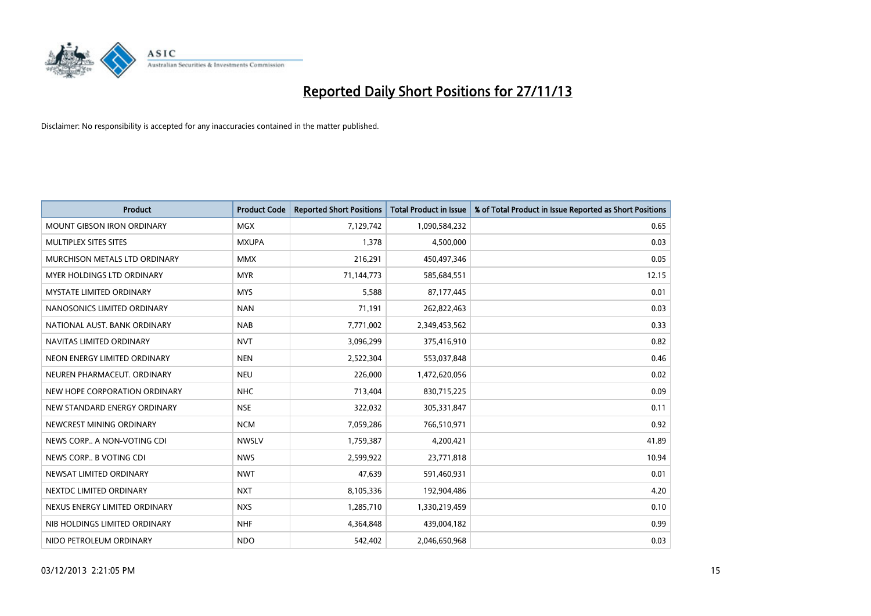

| <b>Product</b>                    | <b>Product Code</b> | <b>Reported Short Positions</b> | <b>Total Product in Issue</b> | % of Total Product in Issue Reported as Short Positions |
|-----------------------------------|---------------------|---------------------------------|-------------------------------|---------------------------------------------------------|
| <b>MOUNT GIBSON IRON ORDINARY</b> | MGX                 | 7,129,742                       | 1,090,584,232                 | 0.65                                                    |
| MULTIPLEX SITES SITES             | <b>MXUPA</b>        | 1,378                           | 4,500,000                     | 0.03                                                    |
| MURCHISON METALS LTD ORDINARY     | <b>MMX</b>          | 216,291                         | 450,497,346                   | 0.05                                                    |
| MYER HOLDINGS LTD ORDINARY        | <b>MYR</b>          | 71,144,773                      | 585,684,551                   | 12.15                                                   |
| <b>MYSTATE LIMITED ORDINARY</b>   | <b>MYS</b>          | 5,588                           | 87,177,445                    | 0.01                                                    |
| NANOSONICS LIMITED ORDINARY       | <b>NAN</b>          | 71,191                          | 262,822,463                   | 0.03                                                    |
| NATIONAL AUST. BANK ORDINARY      | <b>NAB</b>          | 7,771,002                       | 2,349,453,562                 | 0.33                                                    |
| NAVITAS LIMITED ORDINARY          | <b>NVT</b>          | 3,096,299                       | 375,416,910                   | 0.82                                                    |
| NEON ENERGY LIMITED ORDINARY      | <b>NEN</b>          | 2,522,304                       | 553,037,848                   | 0.46                                                    |
| NEUREN PHARMACEUT, ORDINARY       | <b>NEU</b>          | 226,000                         | 1,472,620,056                 | 0.02                                                    |
| NEW HOPE CORPORATION ORDINARY     | <b>NHC</b>          | 713,404                         | 830,715,225                   | 0.09                                                    |
| NEW STANDARD ENERGY ORDINARY      | <b>NSE</b>          | 322,032                         | 305,331,847                   | 0.11                                                    |
| NEWCREST MINING ORDINARY          | <b>NCM</b>          | 7,059,286                       | 766,510,971                   | 0.92                                                    |
| NEWS CORP A NON-VOTING CDI        | <b>NWSLV</b>        | 1,759,387                       | 4,200,421                     | 41.89                                                   |
| NEWS CORP B VOTING CDI            | <b>NWS</b>          | 2,599,922                       | 23,771,818                    | 10.94                                                   |
| NEWSAT LIMITED ORDINARY           | <b>NWT</b>          | 47,639                          | 591,460,931                   | 0.01                                                    |
| NEXTDC LIMITED ORDINARY           | <b>NXT</b>          | 8,105,336                       | 192,904,486                   | 4.20                                                    |
| NEXUS ENERGY LIMITED ORDINARY     | <b>NXS</b>          | 1,285,710                       | 1,330,219,459                 | 0.10                                                    |
| NIB HOLDINGS LIMITED ORDINARY     | <b>NHF</b>          | 4,364,848                       | 439,004,182                   | 0.99                                                    |
| NIDO PETROLEUM ORDINARY           | <b>NDO</b>          | 542,402                         | 2,046,650,968                 | 0.03                                                    |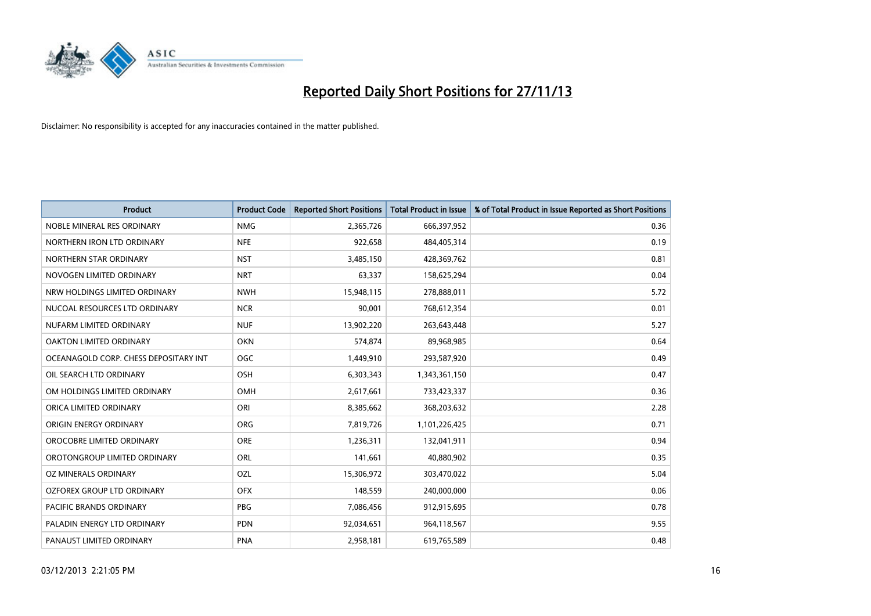

| <b>Product</b>                        | <b>Product Code</b> | <b>Reported Short Positions</b> | <b>Total Product in Issue</b> | % of Total Product in Issue Reported as Short Positions |
|---------------------------------------|---------------------|---------------------------------|-------------------------------|---------------------------------------------------------|
| NOBLE MINERAL RES ORDINARY            | <b>NMG</b>          | 2,365,726                       | 666,397,952                   | 0.36                                                    |
| NORTHERN IRON LTD ORDINARY            | <b>NFE</b>          | 922,658                         | 484,405,314                   | 0.19                                                    |
| NORTHERN STAR ORDINARY                | <b>NST</b>          | 3,485,150                       | 428,369,762                   | 0.81                                                    |
| NOVOGEN LIMITED ORDINARY              | <b>NRT</b>          | 63,337                          | 158,625,294                   | 0.04                                                    |
| NRW HOLDINGS LIMITED ORDINARY         | <b>NWH</b>          | 15,948,115                      | 278,888,011                   | 5.72                                                    |
| NUCOAL RESOURCES LTD ORDINARY         | <b>NCR</b>          | 90,001                          | 768,612,354                   | 0.01                                                    |
| NUFARM LIMITED ORDINARY               | <b>NUF</b>          | 13,902,220                      | 263,643,448                   | 5.27                                                    |
| OAKTON LIMITED ORDINARY               | <b>OKN</b>          | 574,874                         | 89,968,985                    | 0.64                                                    |
| OCEANAGOLD CORP. CHESS DEPOSITARY INT | <b>OGC</b>          | 1,449,910                       | 293,587,920                   | 0.49                                                    |
| OIL SEARCH LTD ORDINARY               | OSH                 | 6,303,343                       | 1,343,361,150                 | 0.47                                                    |
| OM HOLDINGS LIMITED ORDINARY          | OMH                 | 2,617,661                       | 733,423,337                   | 0.36                                                    |
| ORICA LIMITED ORDINARY                | ORI                 | 8,385,662                       | 368,203,632                   | 2.28                                                    |
| ORIGIN ENERGY ORDINARY                | ORG                 | 7,819,726                       | 1,101,226,425                 | 0.71                                                    |
| OROCOBRE LIMITED ORDINARY             | <b>ORE</b>          | 1,236,311                       | 132,041,911                   | 0.94                                                    |
| OROTONGROUP LIMITED ORDINARY          | ORL                 | 141,661                         | 40,880,902                    | 0.35                                                    |
| OZ MINERALS ORDINARY                  | OZL                 | 15,306,972                      | 303,470,022                   | 5.04                                                    |
| OZFOREX GROUP LTD ORDINARY            | <b>OFX</b>          | 148,559                         | 240,000,000                   | 0.06                                                    |
| <b>PACIFIC BRANDS ORDINARY</b>        | <b>PBG</b>          | 7,086,456                       | 912,915,695                   | 0.78                                                    |
| PALADIN ENERGY LTD ORDINARY           | <b>PDN</b>          | 92,034,651                      | 964,118,567                   | 9.55                                                    |
| PANAUST LIMITED ORDINARY              | <b>PNA</b>          | 2,958,181                       | 619,765,589                   | 0.48                                                    |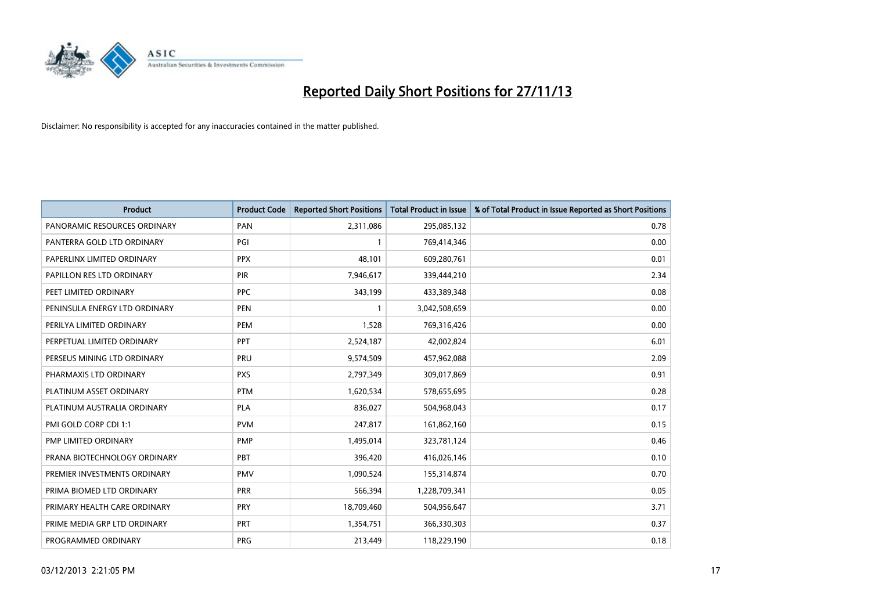

| <b>Product</b>                | <b>Product Code</b> | <b>Reported Short Positions</b> | <b>Total Product in Issue</b> | % of Total Product in Issue Reported as Short Positions |
|-------------------------------|---------------------|---------------------------------|-------------------------------|---------------------------------------------------------|
| PANORAMIC RESOURCES ORDINARY  | PAN                 | 2,311,086                       | 295,085,132                   | 0.78                                                    |
| PANTERRA GOLD LTD ORDINARY    | PGI                 |                                 | 769,414,346                   | 0.00                                                    |
| PAPERLINX LIMITED ORDINARY    | <b>PPX</b>          | 48.101                          | 609,280,761                   | 0.01                                                    |
| PAPILLON RES LTD ORDINARY     | <b>PIR</b>          | 7,946,617                       | 339,444,210                   | 2.34                                                    |
| PEET LIMITED ORDINARY         | <b>PPC</b>          | 343,199                         | 433,389,348                   | 0.08                                                    |
| PENINSULA ENERGY LTD ORDINARY | <b>PEN</b>          | $\mathbf{1}$                    | 3,042,508,659                 | 0.00                                                    |
| PERILYA LIMITED ORDINARY      | <b>PEM</b>          | 1,528                           | 769,316,426                   | 0.00                                                    |
| PERPETUAL LIMITED ORDINARY    | PPT                 | 2,524,187                       | 42,002,824                    | 6.01                                                    |
| PERSEUS MINING LTD ORDINARY   | PRU                 | 9,574,509                       | 457,962,088                   | 2.09                                                    |
| PHARMAXIS LTD ORDINARY        | <b>PXS</b>          | 2,797,349                       | 309,017,869                   | 0.91                                                    |
| PLATINUM ASSET ORDINARY       | <b>PTM</b>          | 1,620,534                       | 578,655,695                   | 0.28                                                    |
| PLATINUM AUSTRALIA ORDINARY   | <b>PLA</b>          | 836,027                         | 504,968,043                   | 0.17                                                    |
| PMI GOLD CORP CDI 1:1         | <b>PVM</b>          | 247,817                         | 161,862,160                   | 0.15                                                    |
| PMP LIMITED ORDINARY          | <b>PMP</b>          | 1,495,014                       | 323,781,124                   | 0.46                                                    |
| PRANA BIOTECHNOLOGY ORDINARY  | <b>PBT</b>          | 396,420                         | 416,026,146                   | 0.10                                                    |
| PREMIER INVESTMENTS ORDINARY  | <b>PMV</b>          | 1,090,524                       | 155,314,874                   | 0.70                                                    |
| PRIMA BIOMED LTD ORDINARY     | <b>PRR</b>          | 566,394                         | 1,228,709,341                 | 0.05                                                    |
| PRIMARY HEALTH CARE ORDINARY  | PRY                 | 18,709,460                      | 504,956,647                   | 3.71                                                    |
| PRIME MEDIA GRP LTD ORDINARY  | <b>PRT</b>          | 1,354,751                       | 366,330,303                   | 0.37                                                    |
| PROGRAMMED ORDINARY           | <b>PRG</b>          | 213,449                         | 118,229,190                   | 0.18                                                    |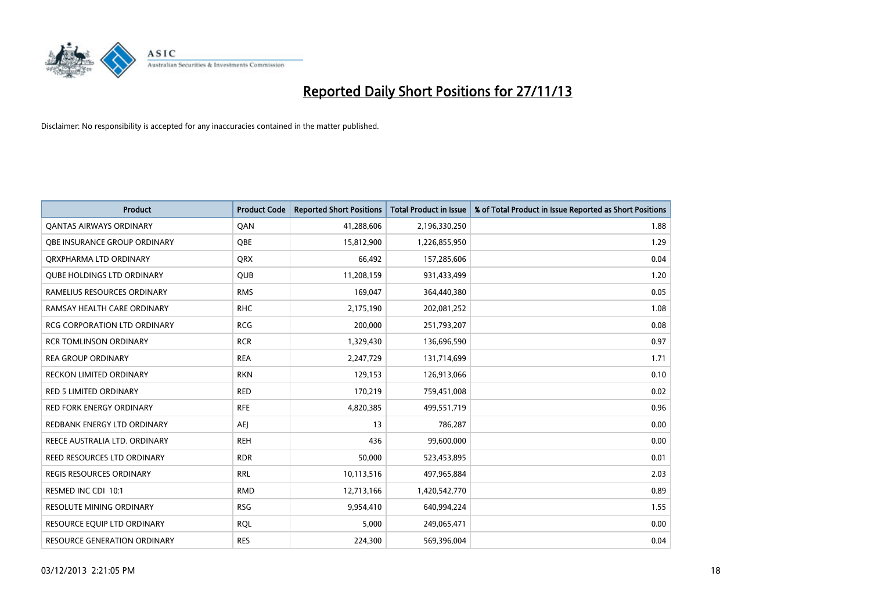

| <b>Product</b>                      | <b>Product Code</b> | <b>Reported Short Positions</b> | <b>Total Product in Issue</b> | % of Total Product in Issue Reported as Short Positions |
|-------------------------------------|---------------------|---------------------------------|-------------------------------|---------------------------------------------------------|
| <b>QANTAS AIRWAYS ORDINARY</b>      | QAN                 | 41,288,606                      | 2,196,330,250                 | 1.88                                                    |
| OBE INSURANCE GROUP ORDINARY        | QBE                 | 15,812,900                      | 1,226,855,950                 | 1.29                                                    |
| ORXPHARMA LTD ORDINARY              | <b>QRX</b>          | 66,492                          | 157,285,606                   | 0.04                                                    |
| <b>OUBE HOLDINGS LTD ORDINARY</b>   | <b>QUB</b>          | 11,208,159                      | 931,433,499                   | 1.20                                                    |
| RAMELIUS RESOURCES ORDINARY         | <b>RMS</b>          | 169,047                         | 364,440,380                   | 0.05                                                    |
| RAMSAY HEALTH CARE ORDINARY         | <b>RHC</b>          | 2,175,190                       | 202,081,252                   | 1.08                                                    |
| <b>RCG CORPORATION LTD ORDINARY</b> | <b>RCG</b>          | 200,000                         | 251,793,207                   | 0.08                                                    |
| <b>RCR TOMLINSON ORDINARY</b>       | <b>RCR</b>          | 1,329,430                       | 136,696,590                   | 0.97                                                    |
| <b>REA GROUP ORDINARY</b>           | <b>REA</b>          | 2,247,729                       | 131,714,699                   | 1.71                                                    |
| <b>RECKON LIMITED ORDINARY</b>      | <b>RKN</b>          | 129,153                         | 126,913,066                   | 0.10                                                    |
| RED 5 LIMITED ORDINARY              | <b>RED</b>          | 170,219                         | 759,451,008                   | 0.02                                                    |
| <b>RED FORK ENERGY ORDINARY</b>     | <b>RFE</b>          | 4,820,385                       | 499,551,719                   | 0.96                                                    |
| REDBANK ENERGY LTD ORDINARY         | AEJ                 | 13                              | 786,287                       | 0.00                                                    |
| REECE AUSTRALIA LTD. ORDINARY       | <b>REH</b>          | 436                             | 99,600,000                    | 0.00                                                    |
| REED RESOURCES LTD ORDINARY         | <b>RDR</b>          | 50,000                          | 523,453,895                   | 0.01                                                    |
| <b>REGIS RESOURCES ORDINARY</b>     | <b>RRL</b>          | 10,113,516                      | 497,965,884                   | 2.03                                                    |
| RESMED INC CDI 10:1                 | <b>RMD</b>          | 12,713,166                      | 1,420,542,770                 | 0.89                                                    |
| <b>RESOLUTE MINING ORDINARY</b>     | <b>RSG</b>          | 9,954,410                       | 640,994,224                   | 1.55                                                    |
| RESOURCE EQUIP LTD ORDINARY         | <b>RQL</b>          | 5,000                           | 249,065,471                   | 0.00                                                    |
| RESOURCE GENERATION ORDINARY        | <b>RES</b>          | 224,300                         | 569,396,004                   | 0.04                                                    |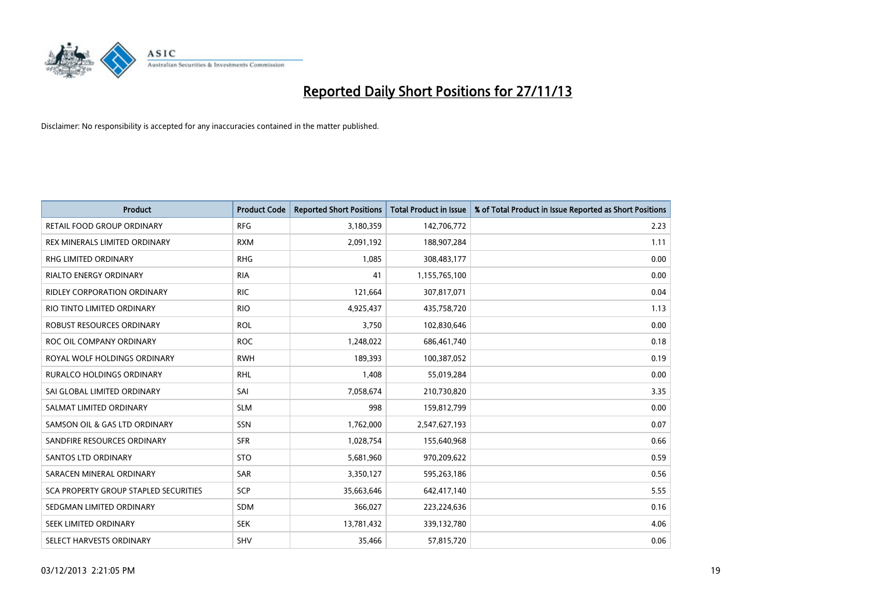

| <b>Product</b>                        | <b>Product Code</b> | <b>Reported Short Positions</b> | <b>Total Product in Issue</b> | % of Total Product in Issue Reported as Short Positions |
|---------------------------------------|---------------------|---------------------------------|-------------------------------|---------------------------------------------------------|
| <b>RETAIL FOOD GROUP ORDINARY</b>     | <b>RFG</b>          | 3,180,359                       | 142,706,772                   | 2.23                                                    |
| <b>REX MINERALS LIMITED ORDINARY</b>  | <b>RXM</b>          | 2,091,192                       | 188,907,284                   | 1.11                                                    |
| RHG LIMITED ORDINARY                  | <b>RHG</b>          | 1,085                           | 308,483,177                   | 0.00                                                    |
| <b>RIALTO ENERGY ORDINARY</b>         | <b>RIA</b>          | 41                              | 1,155,765,100                 | 0.00                                                    |
| <b>RIDLEY CORPORATION ORDINARY</b>    | <b>RIC</b>          | 121,664                         | 307,817,071                   | 0.04                                                    |
| RIO TINTO LIMITED ORDINARY            | <b>RIO</b>          | 4,925,437                       | 435,758,720                   | 1.13                                                    |
| ROBUST RESOURCES ORDINARY             | <b>ROL</b>          | 3,750                           | 102,830,646                   | 0.00                                                    |
| ROC OIL COMPANY ORDINARY              | <b>ROC</b>          | 1,248,022                       | 686,461,740                   | 0.18                                                    |
| ROYAL WOLF HOLDINGS ORDINARY          | <b>RWH</b>          | 189,393                         | 100,387,052                   | 0.19                                                    |
| <b>RURALCO HOLDINGS ORDINARY</b>      | <b>RHL</b>          | 1,408                           | 55,019,284                    | 0.00                                                    |
| SAI GLOBAL LIMITED ORDINARY           | SAI                 | 7,058,674                       | 210,730,820                   | 3.35                                                    |
| SALMAT LIMITED ORDINARY               | <b>SLM</b>          | 998                             | 159,812,799                   | 0.00                                                    |
| SAMSON OIL & GAS LTD ORDINARY         | SSN                 | 1,762,000                       | 2,547,627,193                 | 0.07                                                    |
| SANDFIRE RESOURCES ORDINARY           | <b>SFR</b>          | 1,028,754                       | 155,640,968                   | 0.66                                                    |
| SANTOS LTD ORDINARY                   | <b>STO</b>          | 5,681,960                       | 970,209,622                   | 0.59                                                    |
| SARACEN MINERAL ORDINARY              | SAR                 | 3,350,127                       | 595,263,186                   | 0.56                                                    |
| SCA PROPERTY GROUP STAPLED SECURITIES | SCP                 | 35,663,646                      | 642,417,140                   | 5.55                                                    |
| SEDGMAN LIMITED ORDINARY              | <b>SDM</b>          | 366,027                         | 223,224,636                   | 0.16                                                    |
| SEEK LIMITED ORDINARY                 | <b>SEK</b>          | 13,781,432                      | 339,132,780                   | 4.06                                                    |
| SELECT HARVESTS ORDINARY              | <b>SHV</b>          | 35,466                          | 57,815,720                    | 0.06                                                    |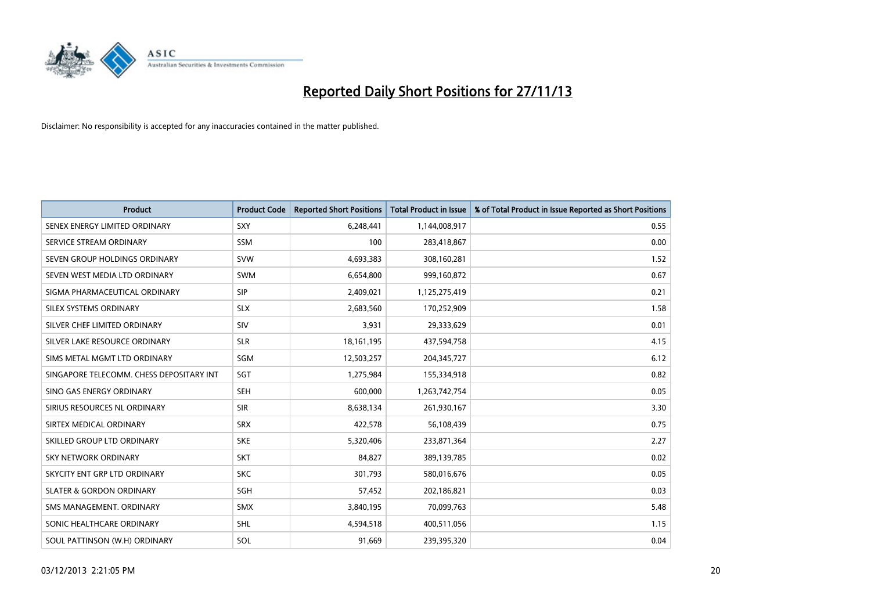

| <b>Product</b>                           | <b>Product Code</b> | <b>Reported Short Positions</b> | <b>Total Product in Issue</b> | % of Total Product in Issue Reported as Short Positions |
|------------------------------------------|---------------------|---------------------------------|-------------------------------|---------------------------------------------------------|
| SENEX ENERGY LIMITED ORDINARY            | <b>SXY</b>          | 6,248,441                       | 1,144,008,917                 | 0.55                                                    |
| SERVICE STREAM ORDINARY                  | <b>SSM</b>          | 100                             | 283,418,867                   | 0.00                                                    |
| SEVEN GROUP HOLDINGS ORDINARY            | <b>SVW</b>          | 4,693,383                       | 308,160,281                   | 1.52                                                    |
| SEVEN WEST MEDIA LTD ORDINARY            | <b>SWM</b>          | 6,654,800                       | 999,160,872                   | 0.67                                                    |
| SIGMA PHARMACEUTICAL ORDINARY            | <b>SIP</b>          | 2,409,021                       | 1,125,275,419                 | 0.21                                                    |
| SILEX SYSTEMS ORDINARY                   | <b>SLX</b>          | 2,683,560                       | 170,252,909                   | 1.58                                                    |
| SILVER CHEF LIMITED ORDINARY             | <b>SIV</b>          | 3,931                           | 29,333,629                    | 0.01                                                    |
| SILVER LAKE RESOURCE ORDINARY            | <b>SLR</b>          | 18, 161, 195                    | 437,594,758                   | 4.15                                                    |
| SIMS METAL MGMT LTD ORDINARY             | SGM                 | 12,503,257                      | 204,345,727                   | 6.12                                                    |
| SINGAPORE TELECOMM. CHESS DEPOSITARY INT | SGT                 | 1,275,984                       | 155,334,918                   | 0.82                                                    |
| SINO GAS ENERGY ORDINARY                 | SEH                 | 600,000                         | 1,263,742,754                 | 0.05                                                    |
| SIRIUS RESOURCES NL ORDINARY             | <b>SIR</b>          | 8,638,134                       | 261,930,167                   | 3.30                                                    |
| SIRTEX MEDICAL ORDINARY                  | <b>SRX</b>          | 422,578                         | 56,108,439                    | 0.75                                                    |
| SKILLED GROUP LTD ORDINARY               | <b>SKE</b>          | 5,320,406                       | 233,871,364                   | 2.27                                                    |
| <b>SKY NETWORK ORDINARY</b>              | <b>SKT</b>          | 84,827                          | 389,139,785                   | 0.02                                                    |
| SKYCITY ENT GRP LTD ORDINARY             | <b>SKC</b>          | 301,793                         | 580,016,676                   | 0.05                                                    |
| <b>SLATER &amp; GORDON ORDINARY</b>      | SGH                 | 57,452                          | 202,186,821                   | 0.03                                                    |
| SMS MANAGEMENT, ORDINARY                 | <b>SMX</b>          | 3,840,195                       | 70,099,763                    | 5.48                                                    |
| SONIC HEALTHCARE ORDINARY                | <b>SHL</b>          | 4,594,518                       | 400,511,056                   | 1.15                                                    |
| SOUL PATTINSON (W.H) ORDINARY            | SOL                 | 91,669                          | 239,395,320                   | 0.04                                                    |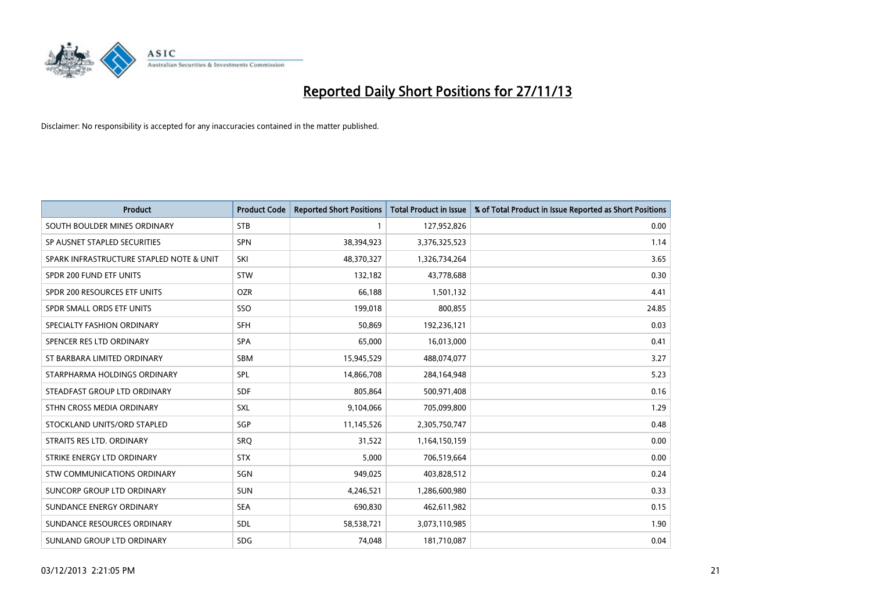

| <b>Product</b>                           | <b>Product Code</b> | <b>Reported Short Positions</b> | <b>Total Product in Issue</b> | % of Total Product in Issue Reported as Short Positions |
|------------------------------------------|---------------------|---------------------------------|-------------------------------|---------------------------------------------------------|
| SOUTH BOULDER MINES ORDINARY             | <b>STB</b>          | 1                               | 127,952,826                   | 0.00                                                    |
| SP AUSNET STAPLED SECURITIES             | <b>SPN</b>          | 38,394,923                      | 3,376,325,523                 | 1.14                                                    |
| SPARK INFRASTRUCTURE STAPLED NOTE & UNIT | SKI                 | 48,370,327                      | 1,326,734,264                 | 3.65                                                    |
| SPDR 200 FUND ETF UNITS                  | <b>STW</b>          | 132,182                         | 43,778,688                    | 0.30                                                    |
| SPDR 200 RESOURCES ETF UNITS             | <b>OZR</b>          | 66,188                          | 1,501,132                     | 4.41                                                    |
| SPDR SMALL ORDS ETF UNITS                | SSO                 | 199,018                         | 800,855                       | 24.85                                                   |
| SPECIALTY FASHION ORDINARY               | <b>SFH</b>          | 50,869                          | 192,236,121                   | 0.03                                                    |
| SPENCER RES LTD ORDINARY                 | <b>SPA</b>          | 65,000                          | 16,013,000                    | 0.41                                                    |
| ST BARBARA LIMITED ORDINARY              | <b>SBM</b>          | 15,945,529                      | 488,074,077                   | 3.27                                                    |
| STARPHARMA HOLDINGS ORDINARY             | <b>SPL</b>          | 14,866,708                      | 284,164,948                   | 5.23                                                    |
| STEADFAST GROUP LTD ORDINARY             | <b>SDF</b>          | 805,864                         | 500,971,408                   | 0.16                                                    |
| STHN CROSS MEDIA ORDINARY                | <b>SXL</b>          | 9,104,066                       | 705,099,800                   | 1.29                                                    |
| STOCKLAND UNITS/ORD STAPLED              | <b>SGP</b>          | 11,145,526                      | 2,305,750,747                 | 0.48                                                    |
| STRAITS RES LTD. ORDINARY                | SRO                 | 31,522                          | 1,164,150,159                 | 0.00                                                    |
| STRIKE ENERGY LTD ORDINARY               | <b>STX</b>          | 5,000                           | 706,519,664                   | 0.00                                                    |
| STW COMMUNICATIONS ORDINARY              | SGN                 | 949,025                         | 403,828,512                   | 0.24                                                    |
| SUNCORP GROUP LTD ORDINARY               | <b>SUN</b>          | 4,246,521                       | 1,286,600,980                 | 0.33                                                    |
| SUNDANCE ENERGY ORDINARY                 | <b>SEA</b>          | 690,830                         | 462,611,982                   | 0.15                                                    |
| SUNDANCE RESOURCES ORDINARY              | SDL                 | 58,538,721                      | 3,073,110,985                 | 1.90                                                    |
| SUNLAND GROUP LTD ORDINARY               | <b>SDG</b>          | 74,048                          | 181,710,087                   | 0.04                                                    |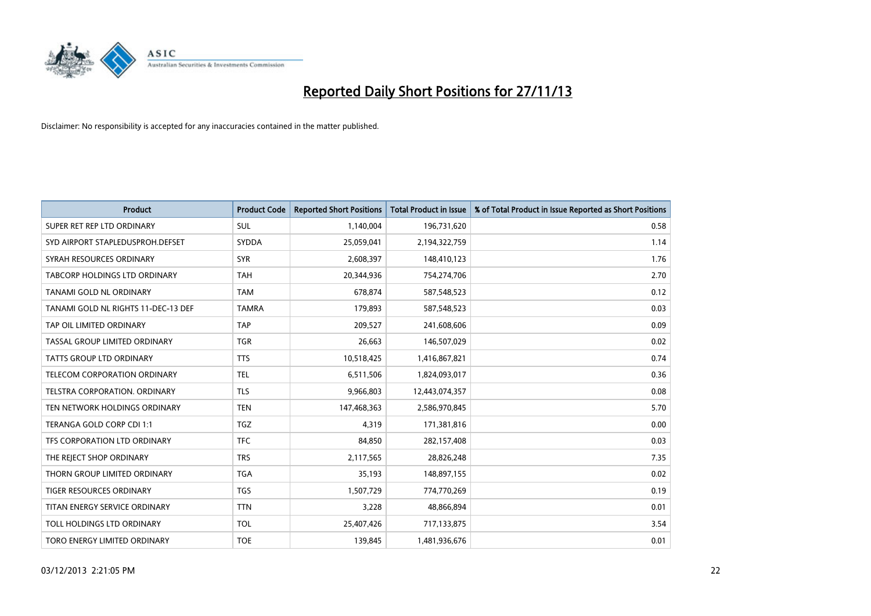

| <b>Product</b>                       | <b>Product Code</b> | <b>Reported Short Positions</b> | <b>Total Product in Issue</b> | % of Total Product in Issue Reported as Short Positions |
|--------------------------------------|---------------------|---------------------------------|-------------------------------|---------------------------------------------------------|
| SUPER RET REP LTD ORDINARY           | <b>SUL</b>          | 1,140,004                       | 196,731,620                   | 0.58                                                    |
| SYD AIRPORT STAPLEDUSPROH.DEFSET     | SYDDA               | 25,059,041                      | 2,194,322,759                 | 1.14                                                    |
| SYRAH RESOURCES ORDINARY             | <b>SYR</b>          | 2,608,397                       | 148,410,123                   | 1.76                                                    |
| <b>TABCORP HOLDINGS LTD ORDINARY</b> | <b>TAH</b>          | 20.344.936                      | 754,274,706                   | 2.70                                                    |
| TANAMI GOLD NL ORDINARY              | <b>TAM</b>          | 678,874                         | 587,548,523                   | 0.12                                                    |
| TANAMI GOLD NL RIGHTS 11-DEC-13 DEF  | <b>TAMRA</b>        | 179,893                         | 587,548,523                   | 0.03                                                    |
| TAP OIL LIMITED ORDINARY             | <b>TAP</b>          | 209,527                         | 241,608,606                   | 0.09                                                    |
| TASSAL GROUP LIMITED ORDINARY        | <b>TGR</b>          | 26,663                          | 146,507,029                   | 0.02                                                    |
| TATTS GROUP LTD ORDINARY             | <b>TTS</b>          | 10,518,425                      | 1,416,867,821                 | 0.74                                                    |
| TELECOM CORPORATION ORDINARY         | <b>TEL</b>          | 6,511,506                       | 1,824,093,017                 | 0.36                                                    |
| TELSTRA CORPORATION. ORDINARY        | <b>TLS</b>          | 9,966,803                       | 12,443,074,357                | 0.08                                                    |
| TEN NETWORK HOLDINGS ORDINARY        | <b>TEN</b>          | 147,468,363                     | 2,586,970,845                 | 5.70                                                    |
| TERANGA GOLD CORP CDI 1:1            | <b>TGZ</b>          | 4,319                           | 171,381,816                   | 0.00                                                    |
| TFS CORPORATION LTD ORDINARY         | <b>TFC</b>          | 84,850                          | 282,157,408                   | 0.03                                                    |
| THE REJECT SHOP ORDINARY             | <b>TRS</b>          | 2,117,565                       | 28,826,248                    | 7.35                                                    |
| THORN GROUP LIMITED ORDINARY         | <b>TGA</b>          | 35,193                          | 148,897,155                   | 0.02                                                    |
| TIGER RESOURCES ORDINARY             | TGS                 | 1,507,729                       | 774,770,269                   | 0.19                                                    |
| TITAN ENERGY SERVICE ORDINARY        | <b>TTN</b>          | 3,228                           | 48,866,894                    | 0.01                                                    |
| TOLL HOLDINGS LTD ORDINARY           | <b>TOL</b>          | 25,407,426                      | 717,133,875                   | 3.54                                                    |
| TORO ENERGY LIMITED ORDINARY         | <b>TOE</b>          | 139,845                         | 1,481,936,676                 | 0.01                                                    |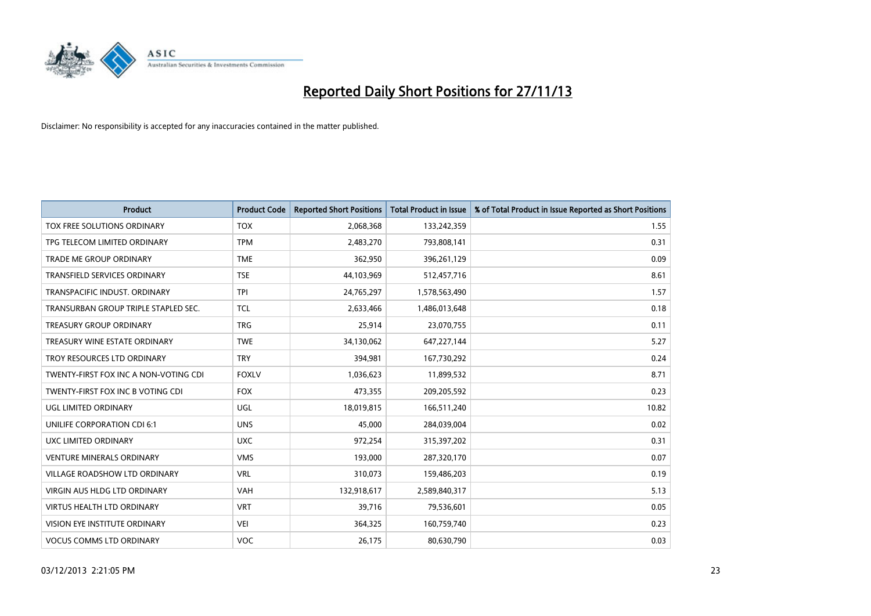

| <b>Product</b>                        | <b>Product Code</b> | <b>Reported Short Positions</b> | <b>Total Product in Issue</b> | % of Total Product in Issue Reported as Short Positions |
|---------------------------------------|---------------------|---------------------------------|-------------------------------|---------------------------------------------------------|
| TOX FREE SOLUTIONS ORDINARY           | <b>TOX</b>          | 2,068,368                       | 133,242,359                   | 1.55                                                    |
| TPG TELECOM LIMITED ORDINARY          | <b>TPM</b>          | 2,483,270                       | 793,808,141                   | 0.31                                                    |
| <b>TRADE ME GROUP ORDINARY</b>        | <b>TME</b>          | 362,950                         | 396,261,129                   | 0.09                                                    |
| TRANSFIELD SERVICES ORDINARY          | <b>TSE</b>          | 44,103,969                      | 512,457,716                   | 8.61                                                    |
| TRANSPACIFIC INDUST, ORDINARY         | <b>TPI</b>          | 24,765,297                      | 1,578,563,490                 | 1.57                                                    |
| TRANSURBAN GROUP TRIPLE STAPLED SEC.  | <b>TCL</b>          | 2,633,466                       | 1,486,013,648                 | 0.18                                                    |
| <b>TREASURY GROUP ORDINARY</b>        | <b>TRG</b>          | 25,914                          | 23,070,755                    | 0.11                                                    |
| TREASURY WINE ESTATE ORDINARY         | <b>TWE</b>          | 34,130,062                      | 647,227,144                   | 5.27                                                    |
| TROY RESOURCES LTD ORDINARY           | <b>TRY</b>          | 394,981                         | 167,730,292                   | 0.24                                                    |
| TWENTY-FIRST FOX INC A NON-VOTING CDI | <b>FOXLV</b>        | 1,036,623                       | 11,899,532                    | 8.71                                                    |
| TWENTY-FIRST FOX INC B VOTING CDI     | <b>FOX</b>          | 473,355                         | 209,205,592                   | 0.23                                                    |
| UGL LIMITED ORDINARY                  | UGL                 | 18,019,815                      | 166,511,240                   | 10.82                                                   |
| <b>UNILIFE CORPORATION CDI 6:1</b>    | <b>UNS</b>          | 45,000                          | 284,039,004                   | 0.02                                                    |
| <b>UXC LIMITED ORDINARY</b>           | <b>UXC</b>          | 972,254                         | 315,397,202                   | 0.31                                                    |
| <b>VENTURE MINERALS ORDINARY</b>      | <b>VMS</b>          | 193,000                         | 287,320,170                   | 0.07                                                    |
| VILLAGE ROADSHOW LTD ORDINARY         | <b>VRL</b>          | 310,073                         | 159,486,203                   | 0.19                                                    |
| VIRGIN AUS HLDG LTD ORDINARY          | <b>VAH</b>          | 132,918,617                     | 2,589,840,317                 | 5.13                                                    |
| <b>VIRTUS HEALTH LTD ORDINARY</b>     | <b>VRT</b>          | 39,716                          | 79,536,601                    | 0.05                                                    |
| VISION EYE INSTITUTE ORDINARY         | VEI                 | 364,325                         | 160,759,740                   | 0.23                                                    |
| <b>VOCUS COMMS LTD ORDINARY</b>       | VOC                 | 26,175                          | 80,630,790                    | 0.03                                                    |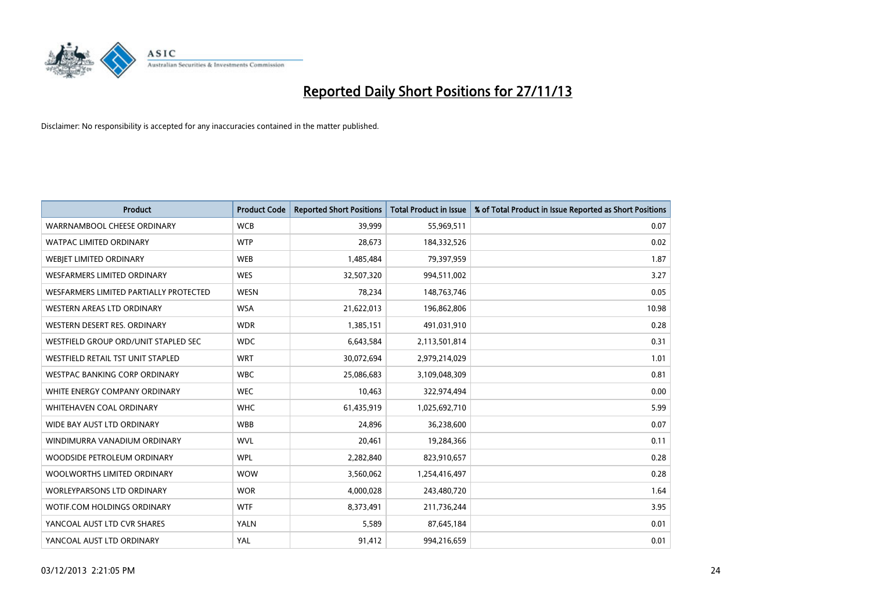

| <b>Product</b>                           | <b>Product Code</b> | <b>Reported Short Positions</b> | <b>Total Product in Issue</b> | % of Total Product in Issue Reported as Short Positions |
|------------------------------------------|---------------------|---------------------------------|-------------------------------|---------------------------------------------------------|
| WARRNAMBOOL CHEESE ORDINARY              | <b>WCB</b>          | 39,999                          | 55,969,511                    | 0.07                                                    |
| <b>WATPAC LIMITED ORDINARY</b>           | <b>WTP</b>          | 28.673                          | 184,332,526                   | 0.02                                                    |
| WEBJET LIMITED ORDINARY                  | <b>WEB</b>          | 1,485,484                       | 79,397,959                    | 1.87                                                    |
| WESFARMERS LIMITED ORDINARY              | <b>WES</b>          | 32,507,320                      | 994,511,002                   | 3.27                                                    |
| WESFARMERS LIMITED PARTIALLY PROTECTED   | <b>WESN</b>         | 78,234                          | 148,763,746                   | 0.05                                                    |
| WESTERN AREAS LTD ORDINARY               | <b>WSA</b>          | 21,622,013                      | 196,862,806                   | 10.98                                                   |
| WESTERN DESERT RES. ORDINARY             | <b>WDR</b>          | 1,385,151                       | 491,031,910                   | 0.28                                                    |
| WESTFIELD GROUP ORD/UNIT STAPLED SEC     | <b>WDC</b>          | 6,643,584                       | 2,113,501,814                 | 0.31                                                    |
| <b>WESTFIELD RETAIL TST UNIT STAPLED</b> | <b>WRT</b>          | 30,072,694                      | 2,979,214,029                 | 1.01                                                    |
| WESTPAC BANKING CORP ORDINARY            | <b>WBC</b>          | 25,086,683                      | 3,109,048,309                 | 0.81                                                    |
| WHITE ENERGY COMPANY ORDINARY            | <b>WEC</b>          | 10,463                          | 322,974,494                   | 0.00                                                    |
| WHITEHAVEN COAL ORDINARY                 | <b>WHC</b>          | 61,435,919                      | 1,025,692,710                 | 5.99                                                    |
| WIDE BAY AUST LTD ORDINARY               | <b>WBB</b>          | 24,896                          | 36,238,600                    | 0.07                                                    |
| WINDIMURRA VANADIUM ORDINARY             | <b>WVL</b>          | 20,461                          | 19,284,366                    | 0.11                                                    |
| WOODSIDE PETROLEUM ORDINARY              | <b>WPL</b>          | 2,282,840                       | 823,910,657                   | 0.28                                                    |
| WOOLWORTHS LIMITED ORDINARY              | <b>WOW</b>          | 3,560,062                       | 1,254,416,497                 | 0.28                                                    |
| <b>WORLEYPARSONS LTD ORDINARY</b>        | <b>WOR</b>          | 4,000,028                       | 243,480,720                   | 1.64                                                    |
| WOTIF.COM HOLDINGS ORDINARY              | <b>WTF</b>          | 8,373,491                       | 211,736,244                   | 3.95                                                    |
| YANCOAL AUST LTD CVR SHARES              | <b>YALN</b>         | 5,589                           | 87,645,184                    | 0.01                                                    |
| YANCOAL AUST LTD ORDINARY                | YAL                 | 91,412                          | 994,216,659                   | 0.01                                                    |